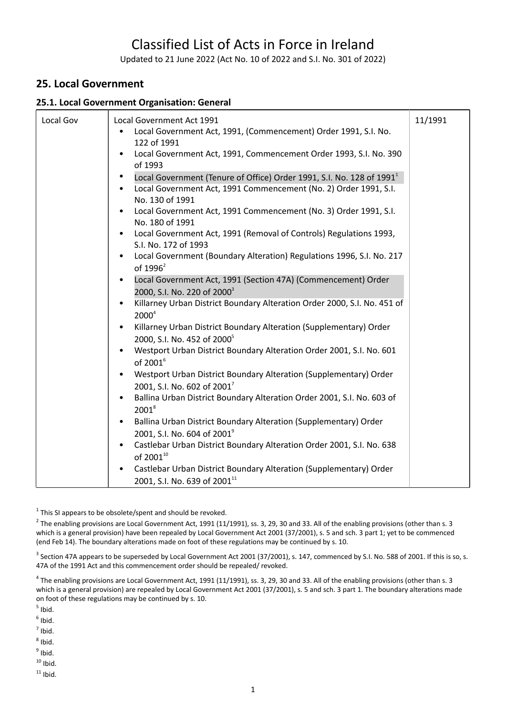# Classified List of Acts in Force in Ireland

Updated to 21 June 2022 (Act No. 10 of 2022 and S.I. No. 301 of 2022)

# **25. Local Government**

#### **25.1. Local Government Organisation: General**

| Local Gov | Local Government Act 1991                                                                                                                                                | 11/1991 |
|-----------|--------------------------------------------------------------------------------------------------------------------------------------------------------------------------|---------|
|           | Local Government Act, 1991, (Commencement) Order 1991, S.I. No.<br>122 of 1991                                                                                           |         |
|           | Local Government Act, 1991, Commencement Order 1993, S.I. No. 390<br>of 1993                                                                                             |         |
|           | Local Government (Tenure of Office) Order 1991, S.I. No. 128 of 1991 <sup>1</sup><br>Local Government Act, 1991 Commencement (No. 2) Order 1991, S.I.<br>No. 130 of 1991 |         |
|           | Local Government Act, 1991 Commencement (No. 3) Order 1991, S.I.<br>No. 180 of 1991                                                                                      |         |
|           | Local Government Act, 1991 (Removal of Controls) Regulations 1993,<br>S.I. No. 172 of 1993                                                                               |         |
|           | Local Government (Boundary Alteration) Regulations 1996, S.I. No. 217<br>of $1996^2$                                                                                     |         |
|           | Local Government Act, 1991 (Section 47A) (Commencement) Order<br>2000, S.I. No. 220 of 2000 <sup>3</sup>                                                                 |         |
|           | Killarney Urban District Boundary Alteration Order 2000, S.I. No. 451 of<br>$2000^4$                                                                                     |         |
|           | Killarney Urban District Boundary Alteration (Supplementary) Order<br>2000, S.I. No. 452 of 2000 <sup>5</sup>                                                            |         |
|           | Westport Urban District Boundary Alteration Order 2001, S.I. No. 601<br>of 2001 <sup>6</sup>                                                                             |         |
|           | Westport Urban District Boundary Alteration (Supplementary) Order<br>2001, S.I. No. 602 of 2001 <sup>7</sup>                                                             |         |
|           | Ballina Urban District Boundary Alteration Order 2001, S.I. No. 603 of<br>$2001^8$                                                                                       |         |
|           | Ballina Urban District Boundary Alteration (Supplementary) Order<br>2001, S.I. No. 604 of 2001 <sup>9</sup>                                                              |         |
|           | Castlebar Urban District Boundary Alteration Order 2001, S.I. No. 638<br>of 200110                                                                                       |         |
|           | Castlebar Urban District Boundary Alteration (Supplementary) Order<br>2001, S.I. No. 639 of 2001 <sup>11</sup>                                                           |         |

 $1$  This SI appears to be obsolete/spent and should be revoked.

<sup>2</sup> The enabling provisions are Local Government Act, 1991 (11/1991), ss. 3, 29, 30 and 33. All of the enabling provisions (other than s. 3 which is a general provision) have been repealed by Local Government Act 2001 (37/2001), s. 5 and sch. 3 part 1; yet to be commenced (end Feb 14). The boundary alterations made on foot of these regulations may be continued by s. 10.

 $^3$  Section 47A appears to be superseded by Local Government Act 2001 (37/2001), s. 147, commenced by S.I. No. 588 of 2001. If this is so, s. 47A of the 1991 Act and this commencement order should be repealed/ revoked.

 $^4$  The enabling provisions are Local Government Act, 1991 (11/1991), ss. 3, 29, 30 and 33. All of the enabling provisions (other than s. 3 which is a general provision) are repealed by Local Government Act 2001 (37/2001), s. 5 and sch. 3 part 1. The boundary alterations made on foot of these regulations may be continued by s. 10.

 $<sup>5</sup>$  Ibid.</sup>

 $<sup>6</sup>$  Ibid.</sup>

 $<sup>7</sup>$  Ibid.</sup>

 $^8$  Ibid.

<sup>9</sup> Ibid.

 $10$  Ibid.

 $11$  Ibid.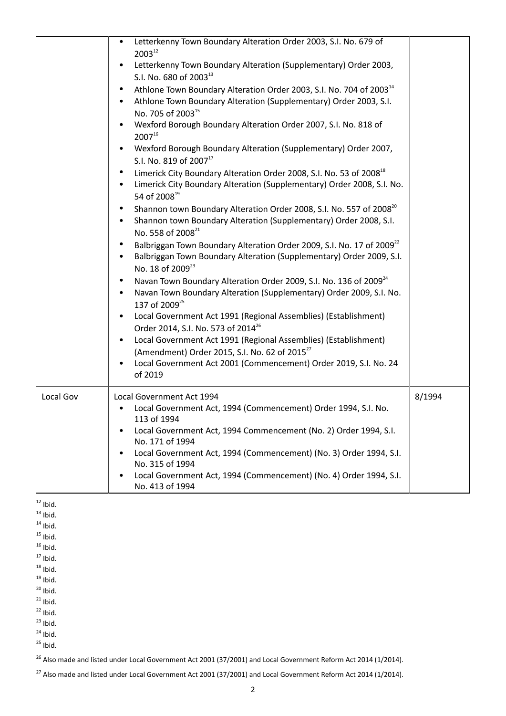|           | Letterkenny Town Boundary Alteration Order 2003, S.I. No. 679 of<br>$2003^{12}$<br>Letterkenny Town Boundary Alteration (Supplementary) Order 2003,<br>$\bullet$<br>S.I. No. 680 of 2003 <sup>13</sup><br>Athlone Town Boundary Alteration Order 2003, S.I. No. 704 of 2003 <sup>14</sup><br>Athlone Town Boundary Alteration (Supplementary) Order 2003, S.I.<br>No. 705 of 2003 <sup>15</sup><br>Wexford Borough Boundary Alteration Order 2007, S.I. No. 818 of<br>$2007^{16}$<br>Wexford Borough Boundary Alteration (Supplementary) Order 2007,<br>S.I. No. 819 of 2007 <sup>17</sup><br>Limerick City Boundary Alteration Order 2008, S.I. No. 53 of 2008 <sup>18</sup><br>Limerick City Boundary Alteration (Supplementary) Order 2008, S.I. No.<br>54 of 2008 <sup>19</sup><br>Shannon town Boundary Alteration Order 2008, S.I. No. 557 of 2008 <sup>20</sup><br>Shannon town Boundary Alteration (Supplementary) Order 2008, S.I.<br>No. 558 of 2008 <sup>21</sup><br>Balbriggan Town Boundary Alteration Order 2009, S.I. No. 17 of 2009 <sup>22</sup><br>Balbriggan Town Boundary Alteration (Supplementary) Order 2009, S.I.<br>No. 18 of 2009 <sup>23</sup><br>Navan Town Boundary Alteration Order 2009, S.I. No. 136 of 2009 <sup>24</sup><br>Navan Town Boundary Alteration (Supplementary) Order 2009, S.I. No.<br>137 of 2009 <sup>25</sup><br>Local Government Act 1991 (Regional Assemblies) (Establishment)<br>$\bullet$<br>Order 2014, S.I. No. 573 of 2014 <sup>26</sup><br>Local Government Act 1991 (Regional Assemblies) (Establishment)<br>(Amendment) Order 2015, S.I. No. 62 of 2015 <sup>27</sup><br>Local Government Act 2001 (Commencement) Order 2019, S.I. No. 24<br>of 2019 |        |
|-----------|-----------------------------------------------------------------------------------------------------------------------------------------------------------------------------------------------------------------------------------------------------------------------------------------------------------------------------------------------------------------------------------------------------------------------------------------------------------------------------------------------------------------------------------------------------------------------------------------------------------------------------------------------------------------------------------------------------------------------------------------------------------------------------------------------------------------------------------------------------------------------------------------------------------------------------------------------------------------------------------------------------------------------------------------------------------------------------------------------------------------------------------------------------------------------------------------------------------------------------------------------------------------------------------------------------------------------------------------------------------------------------------------------------------------------------------------------------------------------------------------------------------------------------------------------------------------------------------------------------------------------------------------------------------------------------------------------------------------|--------|
| Local Gov | Local Government Act 1994<br>Local Government Act, 1994 (Commencement) Order 1994, S.I. No.<br>$\bullet$<br>113 of 1994<br>Local Government Act, 1994 Commencement (No. 2) Order 1994, S.I.<br>No. 171 of 1994<br>Local Government Act, 1994 (Commencement) (No. 3) Order 1994, S.I.<br>No. 315 of 1994<br>Local Government Act, 1994 (Commencement) (No. 4) Order 1994, S.I.<br>$\bullet$<br>No. 413 of 1994                                                                                                                                                                                                                                                                                                                                                                                                                                                                                                                                                                                                                                                                                                                                                                                                                                                                                                                                                                                                                                                                                                                                                                                                                                                                                                   | 8/1994 |

 $12$  Ibid.

 $13$  Ibid.

 $14$  Ibid.

 $15$  Ibid.

 $16$  Ibid.

 $17$  Ibid.  $18$  Ibid.

 $19$  Ibid.

 $^{120}$  Ibid.

 $^{21}$  Ibid.

 $^{12}$  Ibid.

 $^{23}$  Ibid.

 $24$  Ibid.

 $^{25}$  Ibid.

 $^{26}$  Also made and listed under Local Government Act 2001 (37/2001) and Local Government Reform Act 2014 (1/2014).

 $^{27}$  Also made and listed under Local Government Act 2001 (37/2001) and Local Government Reform Act 2014 (1/2014).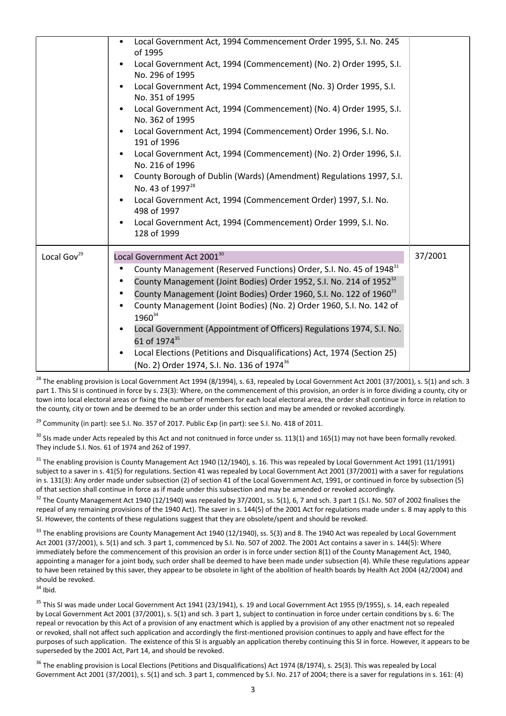|                         | Local Government Act, 1994 Commencement Order 1995, S.I. No. 245<br>of 1995<br>Local Government Act, 1994 (Commencement) (No. 2) Order 1995, S.I.<br>No. 296 of 1995<br>Local Government Act, 1994 Commencement (No. 3) Order 1995, S.I.<br>No. 351 of 1995<br>Local Government Act, 1994 (Commencement) (No. 4) Order 1995, S.I.<br>No. 362 of 1995<br>Local Government Act, 1994 (Commencement) Order 1996, S.I. No.<br>$\bullet$<br>191 of 1996<br>Local Government Act, 1994 (Commencement) (No. 2) Order 1996, S.I.<br>No. 216 of 1996<br>County Borough of Dublin (Wards) (Amendment) Regulations 1997, S.I.<br>No. 43 of 1997 <sup>28</sup> |         |
|-------------------------|----------------------------------------------------------------------------------------------------------------------------------------------------------------------------------------------------------------------------------------------------------------------------------------------------------------------------------------------------------------------------------------------------------------------------------------------------------------------------------------------------------------------------------------------------------------------------------------------------------------------------------------------------|---------|
|                         | Local Government Act, 1994 (Commencement Order) 1997, S.I. No.<br>498 of 1997<br>Local Government Act, 1994 (Commencement) Order 1999, S.I. No.<br>$\bullet$                                                                                                                                                                                                                                                                                                                                                                                                                                                                                       |         |
|                         | 128 of 1999                                                                                                                                                                                                                                                                                                                                                                                                                                                                                                                                                                                                                                        |         |
| Local Gov <sup>29</sup> | Local Government Act 2001 <sup>30</sup><br>County Management (Reserved Functions) Order, S.I. No. 45 of 1948 <sup>31</sup><br>County Management (Joint Bodies) Order 1952, S.I. No. 214 of 1952 <sup>32</sup><br>County Management (Joint Bodies) Order 1960, S.I. No. 122 of 1960 <sup>33</sup><br>County Management (Joint Bodies) (No. 2) Order 1960, S.I. No. 142 of<br>1960 <sup>34</sup><br>Local Government (Appointment of Officers) Regulations 1974, S.I. No.<br>61 of 1974 <sup>35</sup><br>Local Elections (Petitions and Disqualifications) Act, 1974 (Section 25)<br>(No. 2) Order 1974, S.I. No. 136 of 1974 <sup>36</sup>          | 37/2001 |

 $^{28}$  The enabling provision is Local Government Act 1994 (8/1994), s. 63, repealed by Local Government Act 2001 (37/2001), s. 5(1) and sch. 3 part 1. This SI is continued in force by s. 23(3): Where, on the commencement of this provision, an order is in force dividing a county, city or town into local electoral areas or fixing the number of members for each local electoral area, the order shall continue in force in relation to the county, city or town and be deemed to be an order under this section and may be amended or revoked accordingly.

<sup>29</sup> Community (in part): see S.I. No. 357 of 2017. Public Exp (in part): see S.I. No. 418 of 2011.

<sup>30</sup> SIs made under Acts repealed by this Act and not conitnued in force under ss. 113(1) and 165(1) may not have been formally revoked. They include S.I. Nos. 61 of 1974 and 262 of 1997.

 $31$  The enabling provision is County Management Act 1940 (12/1940), s. 16. This was repealed by Local Government Act 1991 (11/1991) subject to a saver in s. 41(5) for regulations. Section 41 was repealed by Local Government Act 2001 (37/2001) with a saver for regulations in s. 131(3): Any order made under subsection (2) of section 41 of the Local Government Act, 1991, or continued in force by subsection (5) of that section shall continue in force as if made under this subsection and may be amended or revoked accordingly.

 $32$  The County Management Act 1940 (12/1940) was repealed by 37/2001, ss. 5(1), 6, 7 and sch. 3 part 1 (S.I. No. 507 of 2002 finalises the repeal of any remaining provisions of the 1940 Act). The saver in s. 144(5) of the 2001 Act for regulations made under s. 8 may apply to this SI. However, the contents of these regulations suggest that they are obsolete/spent and should be revoked.

 $33$  The enabling provisions are County Management Act 1940 (12/1940), ss. 5(3) and 8. The 1940 Act was repealed by Local Government Act 2001 (37/2001), s. 5(1) and sch. 3 part 1, commenced by S.I. No. 507 of 2002. The 2001 Act contains a saver in s. 144(5): Where immediately before the commencement of this provision an order is in force under section 8(1) of the County Management Act, 1940, appointing a manager for a joint body, such order shall be deemed to have been made under subsection (4). While these regulations appear to have been retained by this saver, they appear to be obsolete in light of the abolition of health boards by Health Act 2004 (42/2004) and should be revoked.

 $34$  Ibid.

<sup>35</sup> This SI was made under Local Government Act 1941 (23/1941), s. 19 and Local Government Act 1955 (9/1955), s. 14, each repealed by Local Government Act 2001 (37/2001), s. 5(1) and sch. 3 part 1, subject to continuation in force under certain conditions by s. 6: The repeal or revocation by this Act of a provision of any enactment which is applied by a provision of any other enactment not so repealed or revoked, shall not affect such application and accordingly the first-mentioned provision continues to apply and have effect for the purposes of such application. The existence of this SI is arguably an application thereby continuing this SI in force. However, it appears to be superseded by the 2001 Act, Part 14, and should be revoked.

<sup>36</sup> The enabling provision is Local Elections (Petitions and Disqualifications) Act 1974 (8/1974), s. 25(3). This was repealed by Local Government Act 2001 (37/2001), s. 5(1) and sch. 3 part 1, commenced by S.I. No. 217 of 2004; there is a saver for regulations in s. 161: (4)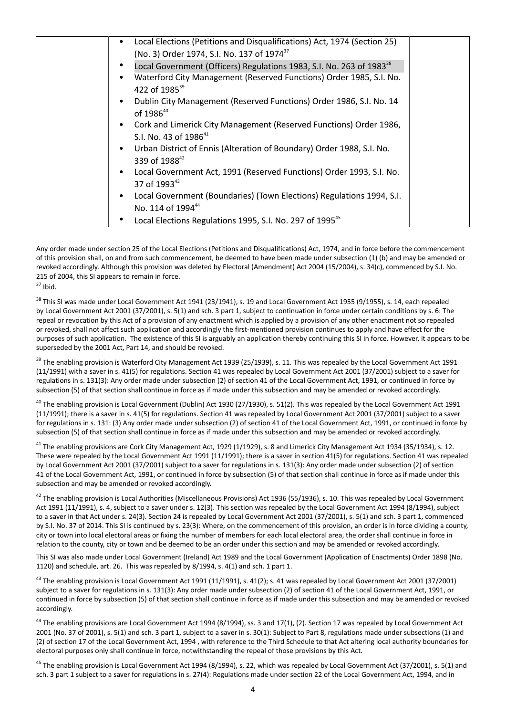| Local Elections (Petitions and Disqualifications) Act, 1974 (Section 25)                                             |
|----------------------------------------------------------------------------------------------------------------------|
| (No. 3) Order 1974, S.I. No. 137 of 1974 <sup>37</sup>                                                               |
| Local Government (Officers) Regulations 1983, S.I. No. 263 of 1983 <sup>38</sup>                                     |
| Waterford City Management (Reserved Functions) Order 1985, S.I. No.<br>422 of 1985 <sup>39</sup>                     |
| Dublin City Management (Reserved Functions) Order 1986, S.I. No. 14<br>$\bullet$<br>of 1986 <sup>40</sup>            |
| Cork and Limerick City Management (Reserved Functions) Order 1986,<br>$\bullet$<br>S.I. No. 43 of 1986 <sup>41</sup> |
| Urban District of Ennis (Alteration of Boundary) Order 1988, S.I. No.<br>339 of 1988 <sup>42</sup>                   |
| Local Government Act, 1991 (Reserved Functions) Order 1993, S.I. No.<br>$\bullet$<br>37 of 199343                    |
| Local Government (Boundaries) (Town Elections) Regulations 1994, S.I.<br>No. 114 of 1994 <sup>44</sup>               |
| Local Elections Regulations 1995, S.I. No. 297 of 1995 <sup>45</sup>                                                 |

Any order made under section 25 of the Local Elections (Petitions and Disqualifications) Act, 1974, and in force before the commencement of this provision shall, on and from such commencement, be deemed to have been made under subsection (1) (b) and may be amended or revoked accordingly. Although this provision was deleted by Electoral (Amendment) Act 2004 (15/2004), s. 34(c), commenced by S.I. No. 215 of 2004, this SI appears to remain in force.  $37$  Ihid.

<sup>38</sup> This SI was made under Local Government Act 1941 (23/1941), s. 19 and Local Government Act 1955 (9/1955), s. 14, each repealed by Local Government Act 2001 (37/2001), s. 5(1) and sch. 3 part 1, subject to continuation in force under certain conditions by s. 6: The repeal or revocation by this Act of a provision of any enactment which is applied by a provision of any other enactment not so repealed or revoked, shall not affect such application and accordingly the first-mentioned provision continues to apply and have effect for the purposes of such application. The existence of this SI is arguably an application thereby continuing this SI in force. However, it appears to be superseded by the 2001 Act, Part 14, and should be revoked.

<sup>39</sup> The enabling provision is Waterford City Management Act 1939 (25/1939), s. 11. This was repealed by the Local Government Act 1991 (11/1991) with a saver in s. 41(5) for regulations. Section 41 was repealed by Local Government Act 2001 (37/2001) subject to a saver for regulations in s. 131(3): Any order made under subsection (2) of section 41 of the Local Government Act, 1991, or continued in force by subsection (5) of that section shall continue in force as if made under this subsection and may be amended or revoked accordingly.

<sup>40</sup> The enabling provision is Local Government (Dublin) Act 1930 (27/1930), s. 51(2). This was repealed by the Local Government Act 1991 (11/1991); there is a saver in s. 41(5) for regulations. Section 41 was repealed by Local Government Act 2001 (37/2001) subject to a saver for regulations in s. 131: (3) Any order made under subsection (2) of section 41 of the Local Government Act, 1991, or continued in force by subsection (5) of that section shall continue in force as if made under this subsection and may be amended or revoked accordingly.

<sup>41</sup> The enabling provisions are Cork City Management Act, 1929 (1/1929), s. 8 and Limerick City Management Act 1934 (35/1934), s. 12. These were repealed by the Local Government Act 1991 (11/1991); there is a saver in section 41(5) for regulations. Section 41 was repealed by Local Government Act 2001 (37/2001) subject to a saver for regulations in s. 131(3): Any order made under subsection (2) of section 41 of the Local Government Act, 1991, or continued in force by subsection (5) of that section shall continue in force as if made under this subsection and may be amended or revoked accordingly.

 $42$  The enabling provision is Local Authorities (Miscellaneous Provisions) Act 1936 (55/1936), s. 10. This was repealed by Local Government Act 1991 (11/1991), s. 4, subject to a saver under s. 12(3). This section was repealed by the Local Government Act 1994 (8/1994), subject to a saver in that Act under s. 24(3). Section 24 is repealed by Local Government Act 2001 (37/2001), s. 5(1) and sch. 3 part 1, commenced by S.I. No. 37 of 2014. This SI is continued by s. 23(3): Where, on the commencement of this provision, an order is in force dividing a county, city or town into local electoral areas or fixing the number of members for each local electoral area, the order shall continue in force in relation to the county, city or town and be deemed to be an order under this section and may be amended or revoked accordingly.

This SI was also made under Local Government (Ireland) Act 1989 and the Local Government (Application of Enactments) Order 1898 (No. 1120) and schedule, art. 26. This was repealed by 8/1994, s. 4(1) and sch. 1 part 1.

 $43$  The enabling provision is Local Government Act 1991 (11/1991), s. 41(2); s. 41 was repealed by Local Government Act 2001 (37/2001) subject to a saver for regulations in s. 131(3): Any order made under subsection (2) of section 41 of the Local Government Act, 1991, or continued in force by subsection (5) of that section shall continue in force as if made under this subsection and may be amended or revoked accordingly.

<sup>44</sup> The enabling provisions are Local Government Act 1994 (8/1994), ss. 3 and 17(1), (2). Section 17 was repealed by Local Government Act 2001 (No. 37 of 2001), s. 5(1) and sch. 3 part 1, subject to a saver in s. 30(1): Subject to Part 8, regulations made under subsections (1) and (2) of section 17 of the Local Government Act, 1994 , with reference to the Third Schedule to that Act altering local authority boundaries for electoral purposes only shall continue in force, notwithstanding the repeal of those provisions by this Act.

<sup>45</sup> The enabling provision is Local Government Act 1994 (8/1994), s. 22, which was repealed by Local Government Act (37/2001), s. 5(1) and sch. 3 part 1 subject to a saver for regulations in s. 27(4): Regulations made under section 22 of the Local Government Act, 1994, and in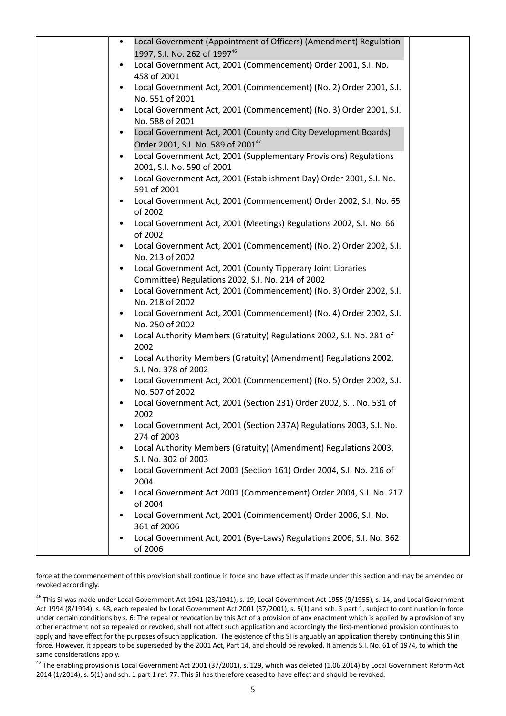| Local Government (Appointment of Officers) (Amendment) Regulation<br>$\bullet$                             |  |
|------------------------------------------------------------------------------------------------------------|--|
| 1997, S.I. No. 262 of 1997 <sup>46</sup><br>Local Government Act, 2001 (Commencement) Order 2001, S.I. No. |  |
| 458 of 2001                                                                                                |  |
| Local Government Act, 2001 (Commencement) (No. 2) Order 2001, S.I.<br>$\bullet$                            |  |
| No. 551 of 2001                                                                                            |  |
| Local Government Act, 2001 (Commencement) (No. 3) Order 2001, S.I.                                         |  |
| No. 588 of 2001<br>Local Government Act, 2001 (County and City Development Boards)<br>$\bullet$            |  |
| Order 2001, S.I. No. 589 of 2001 <sup>47</sup>                                                             |  |
| Local Government Act, 2001 (Supplementary Provisions) Regulations<br>$\bullet$                             |  |
| 2001, S.I. No. 590 of 2001                                                                                 |  |
| Local Government Act, 2001 (Establishment Day) Order 2001, S.I. No.                                        |  |
| 591 of 2001<br>Local Government Act, 2001 (Commencement) Order 2002, S.I. No. 65                           |  |
| of 2002                                                                                                    |  |
| Local Government Act, 2001 (Meetings) Regulations 2002, S.I. No. 66                                        |  |
| of 2002                                                                                                    |  |
| Local Government Act, 2001 (Commencement) (No. 2) Order 2002, S.I.<br>No. 213 of 2002                      |  |
| Local Government Act, 2001 (County Tipperary Joint Libraries                                               |  |
| Committee) Regulations 2002, S.I. No. 214 of 2002                                                          |  |
| Local Government Act, 2001 (Commencement) (No. 3) Order 2002, S.I.                                         |  |
| No. 218 of 2002                                                                                            |  |
| Local Government Act, 2001 (Commencement) (No. 4) Order 2002, S.I.<br>No. 250 of 2002                      |  |
| Local Authority Members (Gratuity) Regulations 2002, S.I. No. 281 of                                       |  |
| 2002                                                                                                       |  |
| Local Authority Members (Gratuity) (Amendment) Regulations 2002,                                           |  |
| S.I. No. 378 of 2002                                                                                       |  |
| Local Government Act, 2001 (Commencement) (No. 5) Order 2002, S.I.<br>$\bullet$<br>No. 507 of 2002         |  |
| Local Government Act, 2001 (Section 231) Order 2002, S.I. No. 531 of                                       |  |
| 2002                                                                                                       |  |
| Local Government Act, 2001 (Section 237A) Regulations 2003, S.I. No.                                       |  |
| 274 of 2003<br>Local Authority Members (Gratuity) (Amendment) Regulations 2003,                            |  |
| S.I. No. 302 of 2003                                                                                       |  |
| Local Government Act 2001 (Section 161) Order 2004, S.I. No. 216 of                                        |  |
| 2004                                                                                                       |  |
| Local Government Act 2001 (Commencement) Order 2004, S.I. No. 217                                          |  |
| of 2004<br>Local Government Act, 2001 (Commencement) Order 2006, S.I. No.                                  |  |
| 361 of 2006                                                                                                |  |
| Local Government Act, 2001 (Bye-Laws) Regulations 2006, S.I. No. 362                                       |  |
| of 2006                                                                                                    |  |

force at the commencement of this provision shall continue in force and have effect as if made under this section and may be amended or revoked accordingly.

<sup>46</sup> This SI was made under Local Government Act 1941 (23/1941), s. 19, Local Government Act 1955 (9/1955), s. 14, and Local Government Act 1994 (8/1994), s. 48, each repealed by Local Government Act 2001 (37/2001), s. 5(1) and sch. 3 part 1, subject to continuation in force under certain conditions by s. 6: The repeal or revocation by this Act of a provision of any enactment which is applied by a provision of any other enactment not so repealed or revoked, shall not affect such application and accordingly the first-mentioned provision continues to apply and have effect for the purposes of such application. The existence of this SI is arguably an application thereby continuing this SI in force. However, it appears to be superseded by the 2001 Act, Part 14, and should be revoked. It amends S.I. No. 61 of 1974, to which the same considerations apply.

<sup>47</sup> The enabling provision is Local Government Act 2001 (37/2001), s. 129, which was deleted (1.06.2014) by Local Government Reform Act 2014 (1/2014), s. 5(1) and sch. 1 part 1 ref. 77. This SI has therefore ceased to have effect and should be revoked.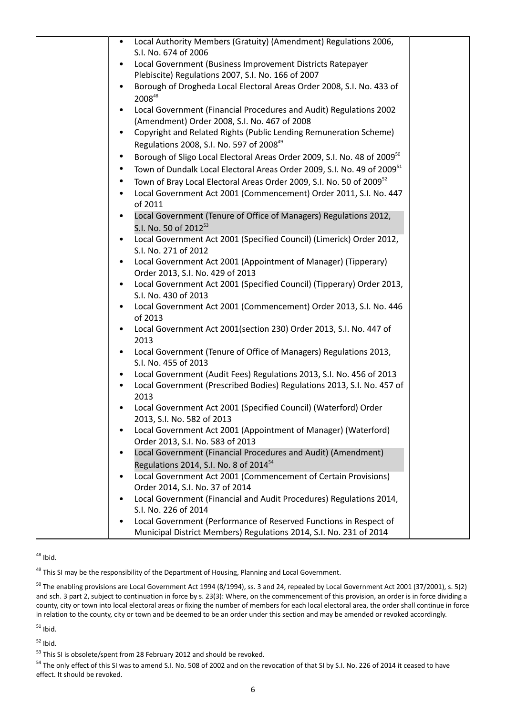| Local Authority Members (Gratuity) (Amendment) Regulations 2006,<br>S.I. No. 674 of 2006 |  |
|------------------------------------------------------------------------------------------|--|
| Local Government (Business Improvement Districts Ratepayer                               |  |
| Plebiscite) Regulations 2007, S.I. No. 166 of 2007                                       |  |
| Borough of Drogheda Local Electoral Areas Order 2008, S.I. No. 433 of                    |  |
| 200848                                                                                   |  |
| Local Government (Financial Procedures and Audit) Regulations 2002                       |  |
| (Amendment) Order 2008, S.I. No. 467 of 2008                                             |  |
| Copyright and Related Rights (Public Lending Remuneration Scheme)<br>$\bullet$           |  |
| Regulations 2008, S.I. No. 597 of 2008 <sup>49</sup>                                     |  |
| Borough of Sligo Local Electoral Areas Order 2009, S.I. No. 48 of 2009 <sup>50</sup>     |  |
| Town of Dundalk Local Electoral Areas Order 2009, S.I. No. 49 of 2009 <sup>51</sup>      |  |
| Town of Bray Local Electoral Areas Order 2009, S.I. No. 50 of 2009 <sup>52</sup>         |  |
| Local Government Act 2001 (Commencement) Order 2011, S.I. No. 447                        |  |
| of 2011                                                                                  |  |
| Local Government (Tenure of Office of Managers) Regulations 2012,                        |  |
| S.I. No. 50 of 2012 <sup>53</sup>                                                        |  |
| Local Government Act 2001 (Specified Council) (Limerick) Order 2012,                     |  |
| S.I. No. 271 of 2012                                                                     |  |
| Local Government Act 2001 (Appointment of Manager) (Tipperary)                           |  |
| Order 2013, S.I. No. 429 of 2013                                                         |  |
| Local Government Act 2001 (Specified Council) (Tipperary) Order 2013,                    |  |
| S.I. No. 430 of 2013                                                                     |  |
| Local Government Act 2001 (Commencement) Order 2013, S.I. No. 446                        |  |
| of 2013                                                                                  |  |
| Local Government Act 2001(section 230) Order 2013, S.I. No. 447 of<br>2013               |  |
| Local Government (Tenure of Office of Managers) Regulations 2013,<br>$\bullet$           |  |
| S.I. No. 455 of 2013                                                                     |  |
| Local Government (Audit Fees) Regulations 2013, S.I. No. 456 of 2013                     |  |
| Local Government (Prescribed Bodies) Regulations 2013, S.I. No. 457 of                   |  |
| 2013                                                                                     |  |
| Local Government Act 2001 (Specified Council) (Waterford) Order                          |  |
| 2013, S.I. No. 582 of 2013                                                               |  |
| Local Government Act 2001 (Appointment of Manager) (Waterford)                           |  |
| Order 2013, S.I. No. 583 of 2013                                                         |  |
| Local Government (Financial Procedures and Audit) (Amendment)                            |  |
| Regulations 2014, S.I. No. 8 of 2014 <sup>54</sup>                                       |  |
| Local Government Act 2001 (Commencement of Certain Provisions)                           |  |
| Order 2014, S.I. No. 37 of 2014                                                          |  |
| Local Government (Financial and Audit Procedures) Regulations 2014,                      |  |
| S.I. No. 226 of 2014                                                                     |  |
| Local Government (Performance of Reserved Functions in Respect of                        |  |
| Municipal District Members) Regulations 2014, S.I. No. 231 of 2014                       |  |

 $48$  Ibid.

<sup>49</sup> This SI may be the responsibility of the Department of Housing, Planning and Local Government.

<sup>50</sup> The enabling provisions are Local Government Act 1994 (8/1994), ss. 3 and 24, repealed by Local Government Act 2001 (37/2001), s. 5(2) and sch. 3 part 2, subject to continuation in force by s. 23(3): Where, on the commencement of this provision, an order is in force dividing a county, city or town into local electoral areas or fixing the number of members for each local electoral area, the order shall continue in force in relation to the county, city or town and be deemed to be an order under this section and may be amended or revoked accordingly.

 $51$  Ibid.

 $52$  Ibid.

53 This SI is obsolete/spent from 28 February 2012 and should be revoked.

<sup>54</sup> The only effect of this SI was to amend S.I. No. 508 of 2002 and on the revocation of that SI by S.I. No. 226 of 2014 it ceased to have effect. It should be revoked.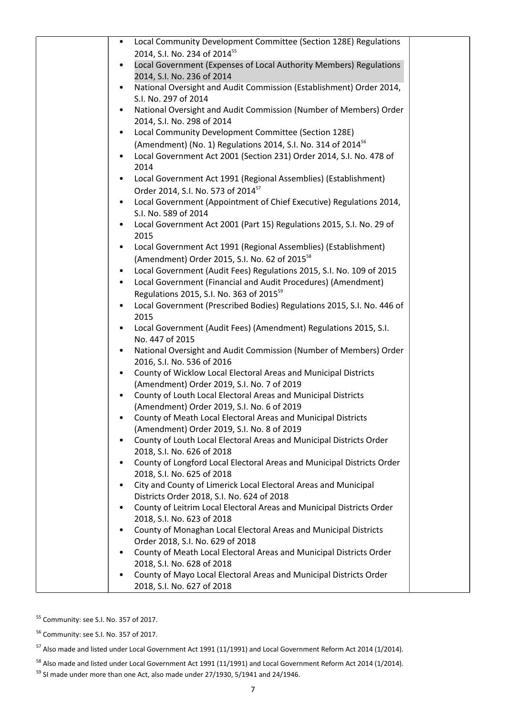| Local Community Development Committee (Section 128E) Regulations                                              |  |
|---------------------------------------------------------------------------------------------------------------|--|
| 2014, S.I. No. 234 of 2014 <sup>55</sup>                                                                      |  |
| Local Government (Expenses of Local Authority Members) Regulations<br>2014, S.I. No. 236 of 2014              |  |
| National Oversight and Audit Commission (Establishment) Order 2014,                                           |  |
| S.I. No. 297 of 2014                                                                                          |  |
| National Oversight and Audit Commission (Number of Members) Order                                             |  |
| 2014, S.I. No. 298 of 2014                                                                                    |  |
| Local Community Development Committee (Section 128E)<br>٠                                                     |  |
| (Amendment) (No. 1) Regulations 2014, S.I. No. 314 of 2014 <sup>56</sup>                                      |  |
| Local Government Act 2001 (Section 231) Order 2014, S.I. No. 478 of<br>2014                                   |  |
| Local Government Act 1991 (Regional Assemblies) (Establishment)<br>$\bullet$                                  |  |
| Order 2014, S.I. No. 573 of 2014 <sup>57</sup>                                                                |  |
| Local Government (Appointment of Chief Executive) Regulations 2014,<br>S.I. No. 589 of 2014                   |  |
| Local Government Act 2001 (Part 15) Regulations 2015, S.I. No. 29 of                                          |  |
| 2015                                                                                                          |  |
| Local Government Act 1991 (Regional Assemblies) (Establishment)<br>٠                                          |  |
| (Amendment) Order 2015, S.I. No. 62 of 2015 <sup>58</sup>                                                     |  |
| Local Government (Audit Fees) Regulations 2015, S.I. No. 109 of 2015                                          |  |
| Local Government (Financial and Audit Procedures) (Amendment)                                                 |  |
| Regulations 2015, S.I. No. 363 of 2015 <sup>59</sup>                                                          |  |
| Local Government (Prescribed Bodies) Regulations 2015, S.I. No. 446 of<br>2015                                |  |
| Local Government (Audit Fees) (Amendment) Regulations 2015, S.I.                                              |  |
| No. 447 of 2015                                                                                               |  |
| National Oversight and Audit Commission (Number of Members) Order                                             |  |
| 2016, S.I. No. 536 of 2016                                                                                    |  |
| County of Wicklow Local Electoral Areas and Municipal Districts<br>(Amendment) Order 2019, S.I. No. 7 of 2019 |  |
| County of Louth Local Electoral Areas and Municipal Districts<br>$\bullet$                                    |  |
| (Amendment) Order 2019, S.I. No. 6 of 2019                                                                    |  |
| County of Meath Local Electoral Areas and Municipal Districts                                                 |  |
| (Amendment) Order 2019, S.I. No. 8 of 2019                                                                    |  |
| County of Louth Local Electoral Areas and Municipal Districts Order                                           |  |
| 2018, S.I. No. 626 of 2018                                                                                    |  |
| County of Longford Local Electoral Areas and Municipal Districts Order<br>2018, S.I. No. 625 of 2018          |  |
| City and County of Limerick Local Electoral Areas and Municipal                                               |  |
| Districts Order 2018, S.I. No. 624 of 2018                                                                    |  |
| County of Leitrim Local Electoral Areas and Municipal Districts Order<br>٠                                    |  |
| 2018, S.I. No. 623 of 2018                                                                                    |  |
| County of Monaghan Local Electoral Areas and Municipal Districts<br>$\bullet$                                 |  |
| Order 2018, S.I. No. 629 of 2018<br>County of Meath Local Electoral Areas and Municipal Districts Order       |  |
| 2018, S.I. No. 628 of 2018                                                                                    |  |
| County of Mayo Local Electoral Areas and Municipal Districts Order                                            |  |
| 2018, S.I. No. 627 of 2018                                                                                    |  |

<sup>55</sup> Community: see S.I. No. 357 of 2017.

<sup>56</sup> Community: see S.I. No. 357 of 2017.

<sup>57</sup> Also made and listed under Local Government Act 1991 (11/1991) and Local Government Reform Act 2014 (1/2014).

 $^{58}$  Also made and listed under Local Government Act 1991 (11/1991) and Local Government Reform Act 2014 (1/2014).  $^{59}$  SI made under more than one Act, also made under 27/1930, 5/1941 and 24/1946.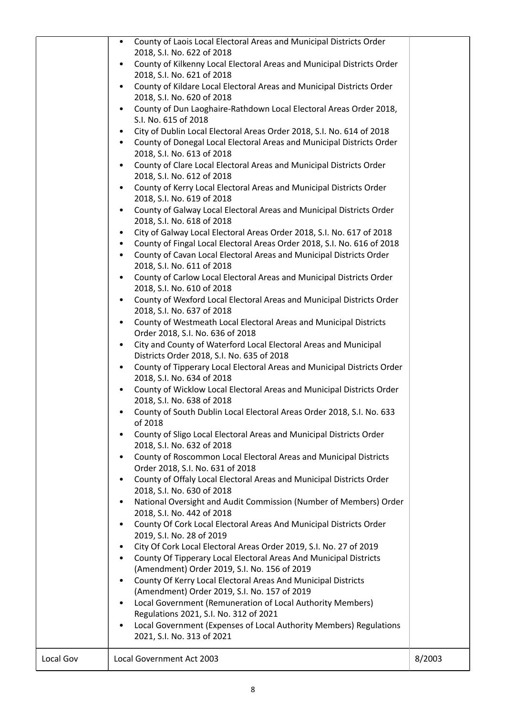|           | County of Laois Local Electoral Areas and Municipal Districts Order<br>$\bullet$<br>2018, S.I. No. 622 of 2018<br>County of Kilkenny Local Electoral Areas and Municipal Districts Order<br>$\bullet$<br>2018, S.I. No. 621 of 2018<br>County of Kildare Local Electoral Areas and Municipal Districts Order<br>$\bullet$ |        |
|-----------|---------------------------------------------------------------------------------------------------------------------------------------------------------------------------------------------------------------------------------------------------------------------------------------------------------------------------|--------|
|           | 2018, S.I. No. 620 of 2018<br>County of Dun Laoghaire-Rathdown Local Electoral Areas Order 2018,<br>$\bullet$                                                                                                                                                                                                             |        |
|           | S.I. No. 615 of 2018                                                                                                                                                                                                                                                                                                      |        |
|           | City of Dublin Local Electoral Areas Order 2018, S.I. No. 614 of 2018<br>$\bullet$<br>County of Donegal Local Electoral Areas and Municipal Districts Order<br>$\bullet$                                                                                                                                                  |        |
|           | 2018, S.I. No. 613 of 2018                                                                                                                                                                                                                                                                                                |        |
|           | County of Clare Local Electoral Areas and Municipal Districts Order<br>$\bullet$<br>2018, S.I. No. 612 of 2018                                                                                                                                                                                                            |        |
|           | County of Kerry Local Electoral Areas and Municipal Districts Order<br>$\bullet$                                                                                                                                                                                                                                          |        |
|           | 2018, S.I. No. 619 of 2018                                                                                                                                                                                                                                                                                                |        |
|           | County of Galway Local Electoral Areas and Municipal Districts Order<br>$\bullet$<br>2018, S.I. No. 618 of 2018                                                                                                                                                                                                           |        |
|           | City of Galway Local Electoral Areas Order 2018, S.I. No. 617 of 2018<br>$\bullet$                                                                                                                                                                                                                                        |        |
|           | County of Fingal Local Electoral Areas Order 2018, S.I. No. 616 of 2018<br>$\bullet$<br>County of Cavan Local Electoral Areas and Municipal Districts Order<br>$\bullet$                                                                                                                                                  |        |
|           | 2018, S.I. No. 611 of 2018                                                                                                                                                                                                                                                                                                |        |
|           | County of Carlow Local Electoral Areas and Municipal Districts Order<br>$\bullet$<br>2018, S.I. No. 610 of 2018                                                                                                                                                                                                           |        |
|           | County of Wexford Local Electoral Areas and Municipal Districts Order<br>$\bullet$<br>2018, S.I. No. 637 of 2018                                                                                                                                                                                                          |        |
|           | County of Westmeath Local Electoral Areas and Municipal Districts<br>$\bullet$<br>Order 2018, S.I. No. 636 of 2018                                                                                                                                                                                                        |        |
|           | City and County of Waterford Local Electoral Areas and Municipal<br>$\bullet$<br>Districts Order 2018, S.I. No. 635 of 2018                                                                                                                                                                                               |        |
|           | County of Tipperary Local Electoral Areas and Municipal Districts Order<br>$\bullet$<br>2018, S.I. No. 634 of 2018                                                                                                                                                                                                        |        |
|           | County of Wicklow Local Electoral Areas and Municipal Districts Order<br>$\bullet$                                                                                                                                                                                                                                        |        |
|           | 2018, S.I. No. 638 of 2018<br>County of South Dublin Local Electoral Areas Order 2018, S.I. No. 633                                                                                                                                                                                                                       |        |
|           | of 2018<br>County of Sligo Local Electoral Areas and Municipal Districts Order<br>$\bullet$                                                                                                                                                                                                                               |        |
|           | 2018, S.I. No. 632 of 2018<br>County of Roscommon Local Electoral Areas and Municipal Districts<br>$\bullet$                                                                                                                                                                                                              |        |
|           | Order 2018, S.I. No. 631 of 2018                                                                                                                                                                                                                                                                                          |        |
|           | County of Offaly Local Electoral Areas and Municipal Districts Order<br>$\bullet$<br>2018, S.I. No. 630 of 2018                                                                                                                                                                                                           |        |
|           | National Oversight and Audit Commission (Number of Members) Order<br>$\bullet$<br>2018, S.I. No. 442 of 2018                                                                                                                                                                                                              |        |
|           | County Of Cork Local Electoral Areas And Municipal Districts Order<br>$\bullet$<br>2019, S.I. No. 28 of 2019                                                                                                                                                                                                              |        |
|           | City Of Cork Local Electoral Areas Order 2019, S.I. No. 27 of 2019<br>$\bullet$                                                                                                                                                                                                                                           |        |
|           | County Of Tipperary Local Electoral Areas And Municipal Districts<br>$\bullet$                                                                                                                                                                                                                                            |        |
|           | (Amendment) Order 2019, S.I. No. 156 of 2019                                                                                                                                                                                                                                                                              |        |
|           | County Of Kerry Local Electoral Areas And Municipal Districts<br>$\bullet$<br>(Amendment) Order 2019, S.I. No. 157 of 2019                                                                                                                                                                                                |        |
|           | Local Government (Remuneration of Local Authority Members)<br>$\bullet$                                                                                                                                                                                                                                                   |        |
|           | Regulations 2021, S.I. No. 312 of 2021                                                                                                                                                                                                                                                                                    |        |
|           | Local Government (Expenses of Local Authority Members) Regulations<br>$\bullet$<br>2021, S.I. No. 313 of 2021                                                                                                                                                                                                             |        |
| Local Gov | Local Government Act 2003                                                                                                                                                                                                                                                                                                 | 8/2003 |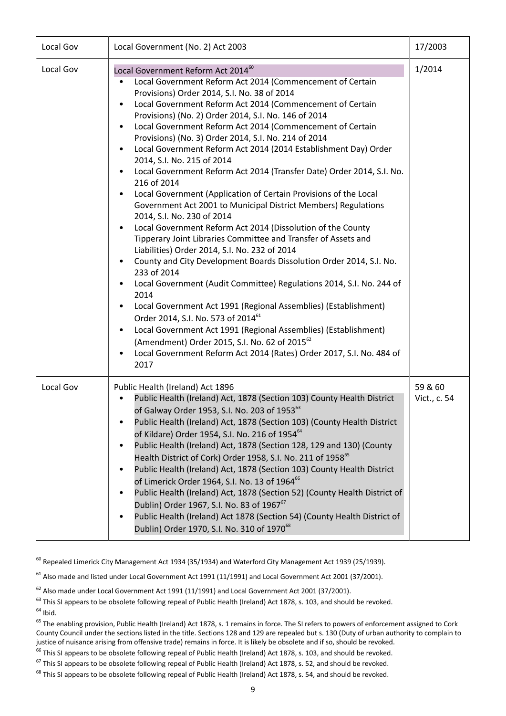| Local Gov | Local Government (No. 2) Act 2003                                                                                                                                                                                                                                                                                                                                                                                                                                                                                                                                                                                                                                                                                                                                                                                                                                                                                                                                                                                                                                                                                                                                                                                                                                                                                                                                                                                                                                           | 17/2003                 |
|-----------|-----------------------------------------------------------------------------------------------------------------------------------------------------------------------------------------------------------------------------------------------------------------------------------------------------------------------------------------------------------------------------------------------------------------------------------------------------------------------------------------------------------------------------------------------------------------------------------------------------------------------------------------------------------------------------------------------------------------------------------------------------------------------------------------------------------------------------------------------------------------------------------------------------------------------------------------------------------------------------------------------------------------------------------------------------------------------------------------------------------------------------------------------------------------------------------------------------------------------------------------------------------------------------------------------------------------------------------------------------------------------------------------------------------------------------------------------------------------------------|-------------------------|
| Local Gov | Local Government Reform Act 2014 <sup>60</sup><br>Local Government Reform Act 2014 (Commencement of Certain<br>Provisions) Order 2014, S.I. No. 38 of 2014<br>Local Government Reform Act 2014 (Commencement of Certain<br>Provisions) (No. 2) Order 2014, S.I. No. 146 of 2014<br>Local Government Reform Act 2014 (Commencement of Certain<br>$\bullet$<br>Provisions) (No. 3) Order 2014, S.I. No. 214 of 2014<br>Local Government Reform Act 2014 (2014 Establishment Day) Order<br>2014, S.I. No. 215 of 2014<br>Local Government Reform Act 2014 (Transfer Date) Order 2014, S.I. No.<br>216 of 2014<br>Local Government (Application of Certain Provisions of the Local<br>Government Act 2001 to Municipal District Members) Regulations<br>2014, S.I. No. 230 of 2014<br>Local Government Reform Act 2014 (Dissolution of the County<br>Tipperary Joint Libraries Committee and Transfer of Assets and<br>Liabilities) Order 2014, S.I. No. 232 of 2014<br>County and City Development Boards Dissolution Order 2014, S.I. No.<br>233 of 2014<br>Local Government (Audit Committee) Regulations 2014, S.I. No. 244 of<br>2014<br>Local Government Act 1991 (Regional Assemblies) (Establishment)<br>Order 2014, S.I. No. 573 of 2014 <sup>61</sup><br>Local Government Act 1991 (Regional Assemblies) (Establishment)<br>(Amendment) Order 2015, S.I. No. 62 of 2015 <sup>62</sup><br>Local Government Reform Act 2014 (Rates) Order 2017, S.I. No. 484 of<br>2017 | 1/2014                  |
| Local Gov | Public Health (Ireland) Act 1896<br>Public Health (Ireland) Act, 1878 (Section 103) County Health District<br>of Galway Order 1953, S.I. No. 203 of 1953 <sup>63</sup><br>Public Health (Ireland) Act, 1878 (Section 103) (County Health District<br>of Kildare) Order 1954, S.I. No. 216 of 1954 <sup>64</sup><br>Public Health (Ireland) Act, 1878 (Section 128, 129 and 130) (County<br>٠<br>Health District of Cork) Order 1958, S.I. No. 211 of 1958 <sup>65</sup><br>Public Health (Ireland) Act, 1878 (Section 103) County Health District<br>of Limerick Order 1964, S.I. No. 13 of 1964 <sup>66</sup><br>Public Health (Ireland) Act, 1878 (Section 52) (County Health District of<br>Dublin) Order 1967, S.I. No. 83 of 1967 <sup>67</sup><br>Public Health (Ireland) Act 1878 (Section 54) (County Health District of<br>Dublin) Order 1970, S.I. No. 310 of 1970 <sup>68</sup>                                                                                                                                                                                                                                                                                                                                                                                                                                                                                                                                                                                  | 59 & 60<br>Vict., c. 54 |

 $^{60}$  Repealed Limerick City Management Act 1934 (35/1934) and Waterford City Management Act 1939 (25/1939).

 $61$  Also made and listed under Local Government Act 1991 (11/1991) and Local Government Act 2001 (37/2001).

 $62$  Also made under Local Government Act 1991 (11/1991) and Local Government Act 2001 (37/2001).

 $63$  This SI appears to be obsolete following repeal of Public Health (Ireland) Act 1878, s. 103, and should be revoked.  $64$  Ibid.

<sup>65</sup> The enabling provision, Public Health (Ireland) Act 1878, s. 1 remains in force. The SI refers to powers of enforcement assigned to Cork County Council under the sections listed in the title. Sections 128 and 129 are repealed but s. 130 (Duty of urban authority to complain to justice of nuisance arising from offensive trade) remains in force. It is likely be obsolete and if so, should be revoked.

<sup>66</sup> This SI appears to be obsolete following repeal of Public Health (Ireland) Act 1878, s. 103, and should be revoked.

 $67$  This SI appears to be obsolete following repeal of Public Health (Ireland) Act 1878, s. 52, and should be revoked.

<sup>68</sup> This SI appears to be obsolete following repeal of Public Health (Ireland) Act 1878, s. 54, and should be revoked.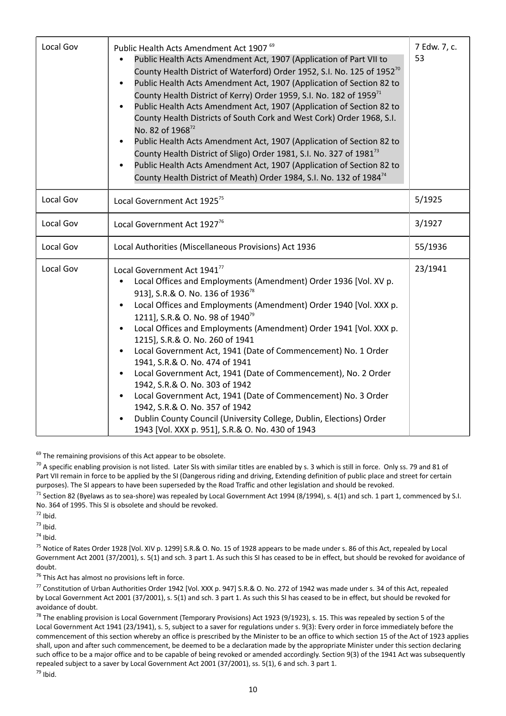| Local Gov | Public Health Acts Amendment Act 1907 <sup>69</sup><br>Public Health Acts Amendment Act, 1907 (Application of Part VII to<br>County Health District of Waterford) Order 1952, S.I. No. 125 of 1952 <sup>70</sup><br>Public Health Acts Amendment Act, 1907 (Application of Section 82 to<br>County Health District of Kerry) Order 1959, S.I. No. 182 of 1959 <sup>71</sup><br>Public Health Acts Amendment Act, 1907 (Application of Section 82 to<br>County Health Districts of South Cork and West Cork) Order 1968, S.I.<br>No. 82 of 196872<br>Public Health Acts Amendment Act, 1907 (Application of Section 82 to<br>County Health District of Sligo) Order 1981, S.I. No. 327 of 1981 <sup>73</sup><br>Public Health Acts Amendment Act, 1907 (Application of Section 82 to<br>County Health District of Meath) Order 1984, S.I. No. 132 of 1984 <sup>74</sup> | 7 Edw. 7, c.<br>53 |
|-----------|------------------------------------------------------------------------------------------------------------------------------------------------------------------------------------------------------------------------------------------------------------------------------------------------------------------------------------------------------------------------------------------------------------------------------------------------------------------------------------------------------------------------------------------------------------------------------------------------------------------------------------------------------------------------------------------------------------------------------------------------------------------------------------------------------------------------------------------------------------------------|--------------------|
| Local Gov | Local Government Act 1925 <sup>75</sup>                                                                                                                                                                                                                                                                                                                                                                                                                                                                                                                                                                                                                                                                                                                                                                                                                                | 5/1925             |
| Local Gov | Local Government Act 1927 <sup>76</sup>                                                                                                                                                                                                                                                                                                                                                                                                                                                                                                                                                                                                                                                                                                                                                                                                                                | 3/1927             |
| Local Gov | Local Authorities (Miscellaneous Provisions) Act 1936                                                                                                                                                                                                                                                                                                                                                                                                                                                                                                                                                                                                                                                                                                                                                                                                                  | 55/1936            |
| Local Gov | Local Government Act 1941 <sup>77</sup><br>Local Offices and Employments (Amendment) Order 1936 [Vol. XV p.<br>913], S.R.& O. No. 136 of 1936 <sup>78</sup><br>Local Offices and Employments (Amendment) Order 1940 [Vol. XXX p.<br>1211], S.R.& O. No. 98 of 1940 <sup>79</sup><br>Local Offices and Employments (Amendment) Order 1941 [Vol. XXX p.<br>1215], S.R.& O. No. 260 of 1941<br>Local Government Act, 1941 (Date of Commencement) No. 1 Order<br>1941, S.R.& O. No. 474 of 1941<br>Local Government Act, 1941 (Date of Commencement), No. 2 Order<br>1942, S.R.& O. No. 303 of 1942<br>Local Government Act, 1941 (Date of Commencement) No. 3 Order<br>1942, S.R.& O. No. 357 of 1942<br>Dublin County Council (University College, Dublin, Elections) Order<br>1943 [Vol. XXX p. 951], S.R.& O. No. 430 of 1943                                          | 23/1941            |

 $69$  The remaining provisions of this Act appear to be obsolete.

 $70$  A specific enabling provision is not listed. Later SIs with similar titles are enabled by s. 3 which is still in force. Only ss. 79 and 81 of Part VII remain in force to be applied by the SI (Dangerous riding and driving, Extending definition of public place and street for certain purposes). The SI appears to have been superseded by the Road Traffic and other legislation and should be revoked.

 $^{71}$  Section 82 (Byelaws as to sea-shore) was repealed by Local Government Act 1994 (8/1994), s. 4(1) and sch. 1 part 1, commenced by S.I. No. 364 of 1995. This SI is obsolete and should be revoked.

 $72$  Ibid.

 $73$  Ibid.

 $74$  Ihid.

<sup>75</sup> Notice of Rates Order 1928 [Vol. XIV p. 1299] S.R.& O. No. 15 of 1928 appears to be made under s. 86 of this Act, repealed by Local Government Act 2001 (37/2001), s. 5(1) and sch. 3 part 1. As such this SI has ceased to be in effect, but should be revoked for avoidance of doubt.

 $76$  This Act has almost no provisions left in force.

<sup>77</sup> Constitution of Urban Authorities Order 1942 [Vol. XXX p. 947] S.R.& O. No. 272 of 1942 was made under s. 34 of this Act, repealed by Local Government Act 2001 (37/2001), s. 5(1) and sch. 3 part 1. As such this SI has ceased to be in effect, but should be revoked for avoidance of doubt.

<sup>78</sup> The enabling provision is Local Government (Temporary Provisions) Act 1923 (9/1923), s. 15. This was repealed by section 5 of the Local Government Act 1941 (23/1941), s. 5, subject to a saver for regulations under s. 9(3): Every order in force immediately before the commencement of this section whereby an office is prescribed by the Minister to be an office to which section 15 of the Act of 1923 applies shall, upon and after such commencement, be deemed to be a declaration made by the appropriate Minister under this section declaring such office to be a major office and to be capable of being revoked or amended accordingly. Section 9(3) of the 1941 Act was subsequently repealed subject to a saver by Local Government Act 2001 (37/2001), ss. 5(1), 6 and sch. 3 part 1.  $79$  Ibid.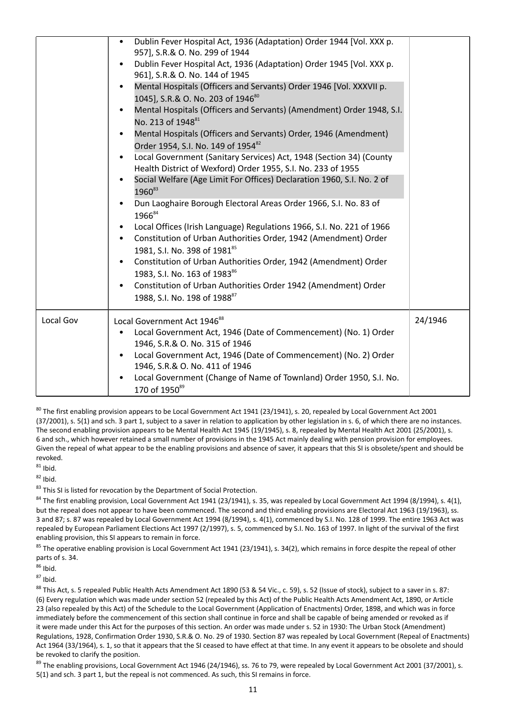|           | Dublin Fever Hospital Act, 1936 (Adaptation) Order 1944 [Vol. XXX p.<br>$\bullet$<br>957], S.R.& O. No. 299 of 1944<br>Dublin Fever Hospital Act, 1936 (Adaptation) Order 1945 [Vol. XXX p.<br>$\bullet$<br>961], S.R.& O. No. 144 of 1945                                                                                                                     |         |
|-----------|----------------------------------------------------------------------------------------------------------------------------------------------------------------------------------------------------------------------------------------------------------------------------------------------------------------------------------------------------------------|---------|
|           | Mental Hospitals (Officers and Servants) Order 1946 [Vol. XXXVII p.<br>$\bullet$<br>1045], S.R.& O. No. 203 of 1946 <sup>80</sup>                                                                                                                                                                                                                              |         |
|           | Mental Hospitals (Officers and Servants) (Amendment) Order 1948, S.I.<br>$\bullet$<br>No. 213 of 1948 <sup>81</sup>                                                                                                                                                                                                                                            |         |
|           | Mental Hospitals (Officers and Servants) Order, 1946 (Amendment)<br>$\bullet$<br>Order 1954, S.I. No. 149 of 1954 <sup>82</sup>                                                                                                                                                                                                                                |         |
|           | Local Government (Sanitary Services) Act, 1948 (Section 34) (County<br>$\bullet$<br>Health District of Wexford) Order 1955, S.I. No. 233 of 1955                                                                                                                                                                                                               |         |
|           | Social Welfare (Age Limit For Offices) Declaration 1960, S.I. No. 2 of<br>$\bullet$<br>1960 <sup>83</sup>                                                                                                                                                                                                                                                      |         |
|           | Dun Laoghaire Borough Electoral Areas Order 1966, S.I. No. 83 of<br>$\bullet$<br>196684                                                                                                                                                                                                                                                                        |         |
|           | Local Offices (Irish Language) Regulations 1966, S.I. No. 221 of 1966<br>$\bullet$<br>Constitution of Urban Authorities Order, 1942 (Amendment) Order<br>$\bullet$<br>1981, S.I. No. 398 of 1981 <sup>85</sup>                                                                                                                                                 |         |
|           | Constitution of Urban Authorities Order, 1942 (Amendment) Order<br>1983, S.I. No. 163 of 198386                                                                                                                                                                                                                                                                |         |
|           | Constitution of Urban Authorities Order 1942 (Amendment) Order<br>$\bullet$<br>1988, S.I. No. 198 of 1988 <sup>87</sup>                                                                                                                                                                                                                                        |         |
| Local Gov | Local Government Act 1946 <sup>88</sup><br>Local Government Act, 1946 (Date of Commencement) (No. 1) Order<br>$\bullet$<br>1946, S.R.& O. No. 315 of 1946<br>Local Government Act, 1946 (Date of Commencement) (No. 2) Order<br>$\bullet$<br>1946, S.R.& O. No. 411 of 1946<br>Local Government (Change of Name of Townland) Order 1950, S.I. No.<br>$\bullet$ | 24/1946 |
|           | 170 of 1950 <sup>89</sup>                                                                                                                                                                                                                                                                                                                                      |         |

 $80$  The first enabling provision appears to be Local Government Act 1941 (23/1941), s. 20, repealed by Local Government Act 2001 (37/2001), s. 5(1) and sch. 3 part 1, subject to a saver in relation to application by other legislation in s. 6, of which there are no instances. The second enabling provision appears to be Mental Health Act 1945 (19/1945), s. 8, repealed by Mental Health Act 2001 (25/2001), s. 6 and sch., which however retained a small number of provisions in the 1945 Act mainly dealing with pension provision for employees. Given the repeal of what appear to be the enabling provisions and absence of saver, it appears that this SI is obsolete/spent and should be revoked.

 $81$  Ibid.

 $82$  Ibid.

<sup>83</sup> This SI is listed for revocation by the Department of Social Protection.

 $84$  The first enabling provision, Local Government Act 1941 (23/1941), s. 35, was repealed by Local Government Act 1994 (8/1994), s. 4(1), but the repeal does not appear to have been commenced. The second and third enabling provisions are Electoral Act 1963 (19/1963), ss. 3 and 87; s. 87 was repealed by Local Government Act 1994 (8/1994), s. 4(1), commenced by S.I. No. 128 of 1999. The entire 1963 Act was repealed by European Parliament Elections Act 1997 (2/1997), s. 5, commenced by S.I. No. 163 of 1997. In light of the survival of the first enabling provision, this SI appears to remain in force.

<sup>85</sup> The operative enabling provision is Local Government Act 1941 (23/1941), s. 34(2), which remains in force despite the repeal of other parts of s. 34.

 $86$  Ibid.

 $87$  Ibid.

<sup>88</sup> This Act, s. 5 repealed Public Health Acts Amendment Act 1890 (53 & 54 Vic., c. 59), s. 52 (Issue of stock), subject to a saver in s. 87: (6) Every regulation which was made under section 52 (repealed by this Act) of the Public Health Acts Amendment Act, 1890, or Article 23 (also repealed by this Act) of the Schedule to the Local Government (Application of Enactments) Order, 1898, and which was in force immediately before the commencement of this section shall continue in force and shall be capable of being amended or revoked as if it were made under this Act for the purposes of this section. An order was made under s. 52 in 1930: The Urban Stock (Amendment) Regulations, 1928, Confirmation Order 1930, S.R.& O. No. 29 of 1930. Section 87 was repealed by Local Government (Repeal of Enactments) Act 1964 (33/1964), s. 1, so that it appears that the SI ceased to have effect at that time. In any event it appears to be obsolete and should be revoked to clarify the position.

<sup>89</sup> The enabling provisions, Local Government Act 1946 (24/1946), ss. 76 to 79, were repealed by Local Government Act 2001 (37/2001), s. 5(1) and sch. 3 part 1, but the repeal is not commenced. As such, this SI remains in force.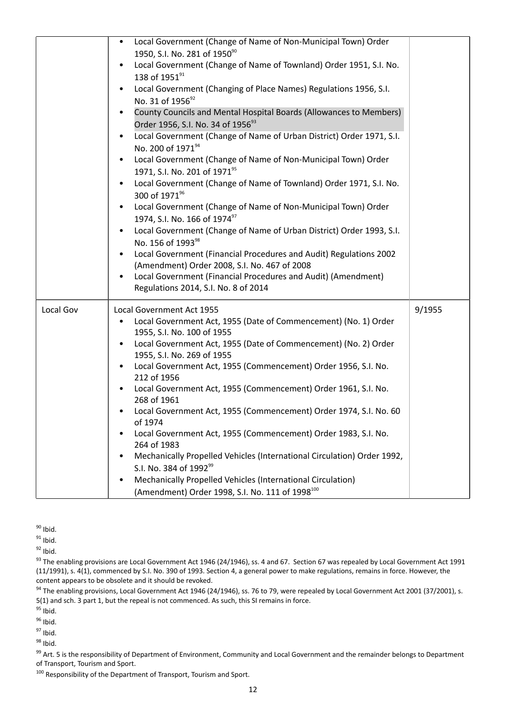|           | Local Government (Change of Name of Non-Municipal Town) Order<br>٠<br>1950, S.I. No. 281 of 1950 <sup>90</sup><br>Local Government (Change of Name of Townland) Order 1951, S.I. No.<br>138 of 195191<br>Local Government (Changing of Place Names) Regulations 1956, S.I.<br>$\bullet$<br>No. 31 of 1956 <sup>92</sup><br>County Councils and Mental Hospital Boards (Allowances to Members)<br>Order 1956, S.I. No. 34 of 1956 <sup>93</sup><br>Local Government (Change of Name of Urban District) Order 1971, S.I.<br>$\bullet$<br>No. 200 of 1971 <sup>94</sup><br>Local Government (Change of Name of Non-Municipal Town) Order<br>$\bullet$<br>1971, S.I. No. 201 of 1971 <sup>95</sup><br>Local Government (Change of Name of Townland) Order 1971, S.I. No.<br>300 of 1971 <sup>96</sup><br>Local Government (Change of Name of Non-Municipal Town) Order<br>1974, S.I. No. 166 of 1974 <sup>97</sup><br>Local Government (Change of Name of Urban District) Order 1993, S.I.<br>$\bullet$<br>No. 156 of 1993 <sup>98</sup><br>Local Government (Financial Procedures and Audit) Regulations 2002<br>(Amendment) Order 2008, S.I. No. 467 of 2008<br>Local Government (Financial Procedures and Audit) (Amendment)<br>$\bullet$<br>Regulations 2014, S.I. No. 8 of 2014 |        |
|-----------|----------------------------------------------------------------------------------------------------------------------------------------------------------------------------------------------------------------------------------------------------------------------------------------------------------------------------------------------------------------------------------------------------------------------------------------------------------------------------------------------------------------------------------------------------------------------------------------------------------------------------------------------------------------------------------------------------------------------------------------------------------------------------------------------------------------------------------------------------------------------------------------------------------------------------------------------------------------------------------------------------------------------------------------------------------------------------------------------------------------------------------------------------------------------------------------------------------------------------------------------------------------------------------|--------|
| Local Gov | Local Government Act 1955<br>Local Government Act, 1955 (Date of Commencement) (No. 1) Order<br>$\bullet$<br>1955, S.I. No. 100 of 1955<br>Local Government Act, 1955 (Date of Commencement) (No. 2) Order<br>$\bullet$<br>1955, S.I. No. 269 of 1955<br>Local Government Act, 1955 (Commencement) Order 1956, S.I. No.<br>212 of 1956<br>Local Government Act, 1955 (Commencement) Order 1961, S.I. No.<br>$\bullet$<br>268 of 1961<br>Local Government Act, 1955 (Commencement) Order 1974, S.I. No. 60<br>of 1974<br>Local Government Act, 1955 (Commencement) Order 1983, S.I. No.<br>264 of 1983<br>Mechanically Propelled Vehicles (International Circulation) Order 1992,<br>S.I. No. 384 of 1992 <sup>99</sup><br>Mechanically Propelled Vehicles (International Circulation)<br>$\bullet$<br>(Amendment) Order 1998, S.I. No. 111 of 1998 <sup>100</sup>                                                                                                                                                                                                                                                                                                                                                                                                                | 9/1955 |

 $90$  Ibid.

 $91$  Ibid.

 $92$  Ibid.

<sup>93</sup> The enabling provisions are Local Government Act 1946 (24/1946), ss. 4 and 67. Section 67 was repealed by Local Government Act 1991 (11/1991), s. 4(1), commenced by S.I. No. 390 of 1993. Section 4, a general power to make regulations, remains in force. However, the content appears to be obsolete and it should be revoked.

<sup>94</sup> The enabling provisions, Local Government Act 1946 (24/1946), ss. 76 to 79, were repealed by Local Government Act 2001 (37/2001), s. 5(1) and sch. 3 part 1, but the repeal is not commenced. As such, this SI remains in force.

 $95$  Ibid.

<sup>96</sup> Ibid.

 $97$  Ibid.

<sup>98</sup> Ibid.

99 Art. 5 is the responsibility of Department of Environment, Community and Local Government and the remainder belongs to Department of Transport, Tourism and Sport.

 $100$  Responsibility of the Department of Transport, Tourism and Sport.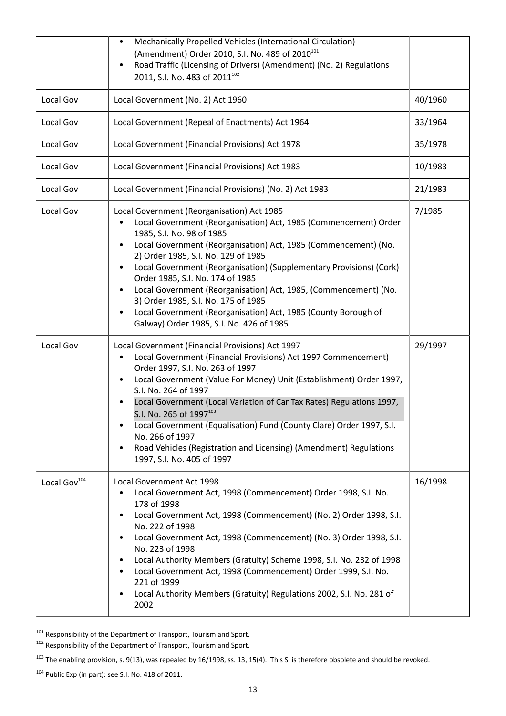|                          | Mechanically Propelled Vehicles (International Circulation)<br>(Amendment) Order 2010, S.I. No. 489 of 2010 <sup>101</sup><br>Road Traffic (Licensing of Drivers) (Amendment) (No. 2) Regulations<br>$\bullet$<br>2011, S.I. No. 483 of 2011 <sup>102</sup>                                                                                                                                                                                                                                                                                                                                                         |         |
|--------------------------|---------------------------------------------------------------------------------------------------------------------------------------------------------------------------------------------------------------------------------------------------------------------------------------------------------------------------------------------------------------------------------------------------------------------------------------------------------------------------------------------------------------------------------------------------------------------------------------------------------------------|---------|
| Local Gov                | Local Government (No. 2) Act 1960                                                                                                                                                                                                                                                                                                                                                                                                                                                                                                                                                                                   | 40/1960 |
| Local Gov                | Local Government (Repeal of Enactments) Act 1964                                                                                                                                                                                                                                                                                                                                                                                                                                                                                                                                                                    | 33/1964 |
| Local Gov                | Local Government (Financial Provisions) Act 1978                                                                                                                                                                                                                                                                                                                                                                                                                                                                                                                                                                    | 35/1978 |
| Local Gov                | Local Government (Financial Provisions) Act 1983                                                                                                                                                                                                                                                                                                                                                                                                                                                                                                                                                                    | 10/1983 |
| Local Gov                | Local Government (Financial Provisions) (No. 2) Act 1983                                                                                                                                                                                                                                                                                                                                                                                                                                                                                                                                                            | 21/1983 |
| Local Gov                | Local Government (Reorganisation) Act 1985<br>Local Government (Reorganisation) Act, 1985 (Commencement) Order<br>1985, S.I. No. 98 of 1985<br>Local Government (Reorganisation) Act, 1985 (Commencement) (No.<br>2) Order 1985, S.I. No. 129 of 1985<br>Local Government (Reorganisation) (Supplementary Provisions) (Cork)<br>$\bullet$<br>Order 1985, S.I. No. 174 of 1985<br>Local Government (Reorganisation) Act, 1985, (Commencement) (No.<br>3) Order 1985, S.I. No. 175 of 1985<br>Local Government (Reorganisation) Act, 1985 (County Borough of<br>$\bullet$<br>Galway) Order 1985, S.I. No. 426 of 1985 | 7/1985  |
| Local Gov                | Local Government (Financial Provisions) Act 1997<br>Local Government (Financial Provisions) Act 1997 Commencement)<br>Order 1997, S.I. No. 263 of 1997<br>Local Government (Value For Money) Unit (Establishment) Order 1997,<br>$\bullet$<br>S.I. No. 264 of 1997<br>Local Government (Local Variation of Car Tax Rates) Regulations 1997,<br>S.I. No. 265 of 1997 <sup>103</sup><br>Local Government (Equalisation) Fund (County Clare) Order 1997, S.I.<br>٠<br>No. 266 of 1997<br>Road Vehicles (Registration and Licensing) (Amendment) Regulations<br>$\bullet$<br>1997, S.I. No. 405 of 1997                 | 29/1997 |
| Local Gov <sup>104</sup> | Local Government Act 1998<br>Local Government Act, 1998 (Commencement) Order 1998, S.I. No.<br>178 of 1998<br>Local Government Act, 1998 (Commencement) (No. 2) Order 1998, S.I.<br>٠<br>No. 222 of 1998<br>Local Government Act, 1998 (Commencement) (No. 3) Order 1998, S.I.<br>$\bullet$<br>No. 223 of 1998<br>Local Authority Members (Gratuity) Scheme 1998, S.I. No. 232 of 1998<br>Local Government Act, 1998 (Commencement) Order 1999, S.I. No.<br>221 of 1999<br>Local Authority Members (Gratuity) Regulations 2002, S.I. No. 281 of<br>$\bullet$<br>2002                                                | 16/1998 |

<sup>101</sup> Responsibility of the Department of Transport, Tourism and Sport.

<sup>102</sup> Responsibility of the Department of Transport, Tourism and Sport.

 $103$  The enabling provision, s. 9(13), was repealed by 16/1998, ss. 13, 15(4). This SI is therefore obsolete and should be revoked.

104 Public Exp (in part): see S.I. No. 418 of 2011.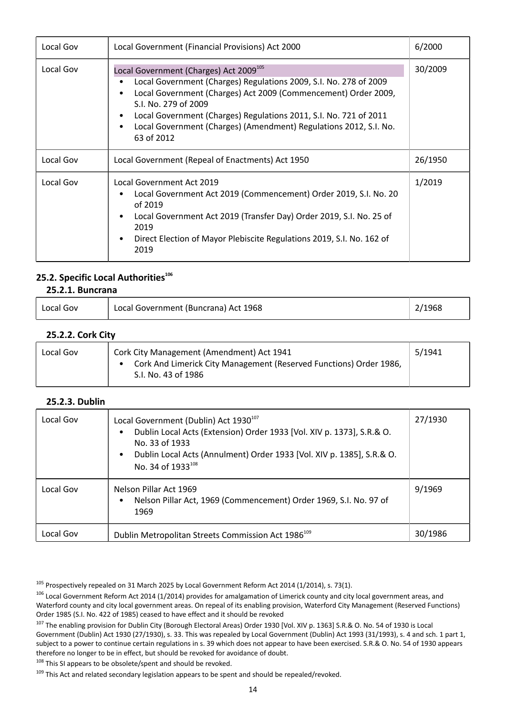| Local Gov | Local Government (Financial Provisions) Act 2000                                                                                                                                                                                                                                                                                                                          | 6/2000  |
|-----------|---------------------------------------------------------------------------------------------------------------------------------------------------------------------------------------------------------------------------------------------------------------------------------------------------------------------------------------------------------------------------|---------|
| Local Gov | Local Government (Charges) Act 2009 <sup>105</sup><br>Local Government (Charges) Regulations 2009, S.I. No. 278 of 2009<br>Local Government (Charges) Act 2009 (Commencement) Order 2009,<br>S.I. No. 279 of 2009<br>Local Government (Charges) Regulations 2011, S.I. No. 721 of 2011<br>Local Government (Charges) (Amendment) Regulations 2012, S.I. No.<br>63 of 2012 | 30/2009 |
| Local Gov | Local Government (Repeal of Enactments) Act 1950                                                                                                                                                                                                                                                                                                                          | 26/1950 |
| Local Gov | Local Government Act 2019<br>Local Government Act 2019 (Commencement) Order 2019, S.I. No. 20<br>of 2019<br>Local Government Act 2019 (Transfer Day) Order 2019, S.I. No. 25 of<br>2019<br>Direct Election of Mayor Plebiscite Regulations 2019, S.I. No. 162 of<br>2019                                                                                                  | 1/2019  |

#### **25.2. Specific Local Authorities<sup>106</sup> 25.2.1. Buncrana**

| ___._._. _ |                                        |        |
|------------|----------------------------------------|--------|
| Local Gov  | ' Local Government (Buncrana) Act 1968 | 2/1968 |

# **25.2.2. Cork City**

| Local Gov | Cork City Management (Amendment) Act 1941<br>Cork And Limerick City Management (Reserved Functions) Order 1986,<br>S.I. No. 43 of 1986 | 5/1941 |
|-----------|----------------------------------------------------------------------------------------------------------------------------------------|--------|
|           |                                                                                                                                        |        |

### **25.2.3. Dublin**

| Local Gov | Local Government (Dublin) Act 1930 <sup>107</sup><br>Dublin Local Acts (Extension) Order 1933 [Vol. XIV p. 1373], S.R.& O.<br>No. 33 of 1933<br>Dublin Local Acts (Annulment) Order 1933 [Vol. XIV p. 1385], S.R.& O.<br>No. 34 of 1933 <sup>108</sup> | 27/1930 |
|-----------|--------------------------------------------------------------------------------------------------------------------------------------------------------------------------------------------------------------------------------------------------------|---------|
| Local Gov | Nelson Pillar Act 1969<br>Nelson Pillar Act, 1969 (Commencement) Order 1969, S.I. No. 97 of<br>1969                                                                                                                                                    | 9/1969  |
| Local Gov | Dublin Metropolitan Streets Commission Act 1986 <sup>109</sup>                                                                                                                                                                                         | 30/1986 |

 $108$  This SI appears to be obsolete/spent and should be revoked.

<sup>&</sup>lt;sup>105</sup> Prospectively repealed on 31 March 2025 by Local Government Reform Act 2014 (1/2014), s. 73(1).

<sup>&</sup>lt;sup>106</sup> Local Government Reform Act 2014 (1/2014) provides for amalgamation of Limerick county and city local government areas, and Waterford county and city local government areas. On repeal of its enabling provision, Waterford City Management (Reserved Functions) Order 1985 (S.I. No. 422 of 1985) ceased to have effect and it should be revoked

<sup>&</sup>lt;sup>107</sup> The enabling provision for Dublin City (Borough Electoral Areas) Order 1930 [Vol. XIV p. 1363] S.R.& O. No. 54 of 1930 is Local Government (Dublin) Act 1930 (27/1930), s. 33. This was repealed by Local Government (Dublin) Act 1993 (31/1993), s. 4 and sch. 1 part 1, subject to a power to continue certain regulations in s. 39 which does not appear to have been exercised. S.R.& O. No. 54 of 1930 appears therefore no longer to be in effect, but should be revoked for avoidance of doubt.

<sup>&</sup>lt;sup>109</sup> This Act and related secondary legislation appears to be spent and should be repealed/revoked.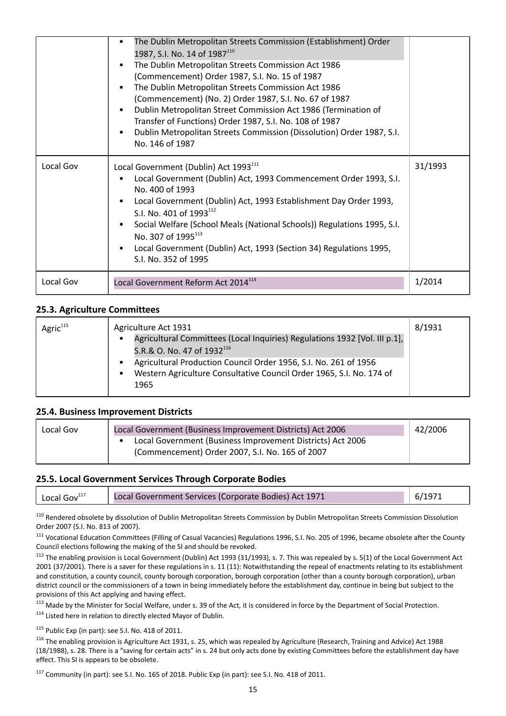|           | The Dublin Metropolitan Streets Commission (Establishment) Order<br>1987, S.I. No. 14 of 1987 <sup>110</sup><br>The Dublin Metropolitan Streets Commission Act 1986<br>(Commencement) Order 1987, S.I. No. 15 of 1987<br>The Dublin Metropolitan Streets Commission Act 1986<br>(Commencement) (No. 2) Order 1987, S.I. No. 67 of 1987<br>Dublin Metropolitan Street Commission Act 1986 (Termination of<br>Transfer of Functions) Order 1987, S.I. No. 108 of 1987<br>Dublin Metropolitan Streets Commission (Dissolution) Order 1987, S.I.<br>$\bullet$<br>No. 146 of 1987 |         |
|-----------|------------------------------------------------------------------------------------------------------------------------------------------------------------------------------------------------------------------------------------------------------------------------------------------------------------------------------------------------------------------------------------------------------------------------------------------------------------------------------------------------------------------------------------------------------------------------------|---------|
| Local Gov | Local Government (Dublin) Act 1993 <sup>111</sup><br>Local Government (Dublin) Act, 1993 Commencement Order 1993, S.I.<br>No. 400 of 1993<br>Local Government (Dublin) Act, 1993 Establishment Day Order 1993,<br>S.I. No. 401 of 1993 <sup>112</sup><br>Social Welfare (School Meals (National Schools)) Regulations 1995, S.I.<br>No. 307 of 1995 <sup>113</sup><br>Local Government (Dublin) Act, 1993 (Section 34) Regulations 1995,<br>S.I. No. 352 of 1995                                                                                                             | 31/1993 |
| Local Gov | Local Government Reform Act 2014 <sup>114</sup>                                                                                                                                                                                                                                                                                                                                                                                                                                                                                                                              | 1/2014  |

### **25.3. Agriculture Committees**

| Agric <sup>115</sup> | Agriculture Act 1931                                                                                                                     | 8/1931 |
|----------------------|------------------------------------------------------------------------------------------------------------------------------------------|--------|
|                      | Agricultural Committees (Local Inquiries) Regulations 1932 [Vol. III p.1],<br>S.R.& O. No. 47 of 1932 <sup>116</sup>                     |        |
|                      | Agricultural Production Council Order 1956, S.I. No. 261 of 1956<br>Western Agriculture Consultative Council Order 1965, S.I. No. 174 of |        |
|                      | 1965                                                                                                                                     |        |

#### **25.4. Business Improvement Districts**

| Local Gov | Local Government (Business Improvement Districts) Act 2006 | 42/2006 |
|-----------|------------------------------------------------------------|---------|
|           | Local Government (Business Improvement Districts) Act 2006 |         |
|           | (Commencement) Order 2007, S.I. No. 165 of 2007            |         |

### **25.5. Local Government Services Through Corporate Bodies**

| Local Gov <sup>117</sup><br>Local Government Services (Corporate Bodies) Act 1971 |
|-----------------------------------------------------------------------------------|
|-----------------------------------------------------------------------------------|

<sup>110</sup> Rendered obsolete by dissolution of Dublin Metropolitan Streets Commission by Dublin Metropolitan Streets Commission Dissolution Order 2007 (S.I. No. 813 of 2007).

<sup>111</sup> Vocational Education Committees (Filling of Casual Vacancies) Regulations 1996, S.I. No. 205 of 1996, became obsolete after the County Council elections following the making of the SI and should be revoked.

<sup>112</sup> The enabling provision is Local Government (Dublin) Act 1993 (31/1993), s. 7. This was repealed by s. 5(1) of the Local Government Act 2001 (37/2001). There is a saver for these regulations in s. 11 (11): Notwithstanding the repeal of enactments relating to its establishment and constitution, a county council, county borough corporation, borough corporation (other than a county borough corporation), urban district council or the commissioners of a town in being immediately before the establishment day, continue in being but subject to the provisions of this Act applying and having effect.

<sup>113</sup> Made by the Minister for Social Welfare, under s. 39 of the Act, it is considered in force by the Department of Social Protection.

 $114$  Listed here in relation to directly elected Mayor of Dublin.

<sup>115</sup> Public Exp (in part): see S.I. No. 418 of 2011.

<sup>116</sup> The enabling provision is Agriculture Act 1931, s. 25, which was repealed by Agriculture (Research, Training and Advice) Act 1988 (18/1988), s. 28. There is a "saving for certain acts" in s. 24 but only acts done by existing Committees before the establishment day have effect. This SI is appears to be obsolete.

<sup>117</sup> Community (in part): see S.I. No. 165 of 2018. Public Exp (in part): see S.I. No. 418 of 2011.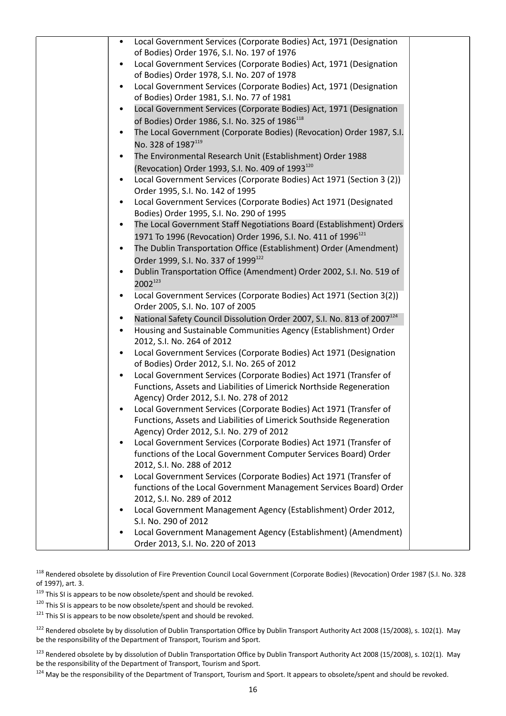| Local Government Services (Corporate Bodies) Act, 1971 (Designation<br>of Bodies) Order 1976, S.I. No. 197 of 1976<br>Local Government Services (Corporate Bodies) Act, 1971 (Designation<br>of Bodies) Order 1978, S.I. No. 207 of 1978<br>Local Government Services (Corporate Bodies) Act, 1971 (Designation<br>of Bodies) Order 1981, S.I. No. 77 of 1981                                                                                                                                                                                                                                                                             |  |
|-------------------------------------------------------------------------------------------------------------------------------------------------------------------------------------------------------------------------------------------------------------------------------------------------------------------------------------------------------------------------------------------------------------------------------------------------------------------------------------------------------------------------------------------------------------------------------------------------------------------------------------------|--|
| Local Government Services (Corporate Bodies) Act, 1971 (Designation<br>of Bodies) Order 1986, S.I. No. 325 of 1986 <sup>118</sup><br>The Local Government (Corporate Bodies) (Revocation) Order 1987, S.I.<br>No. 328 of 1987119<br>The Environmental Research Unit (Establishment) Order 1988<br>٠<br>(Revocation) Order 1993, S.I. No. 409 of 1993 <sup>120</sup><br>Local Government Services (Corporate Bodies) Act 1971 (Section 3 (2))<br>Order 1995, S.I. No. 142 of 1995<br>Local Government Services (Corporate Bodies) Act 1971 (Designated<br>$\bullet$                                                                        |  |
| Bodies) Order 1995, S.I. No. 290 of 1995<br>The Local Government Staff Negotiations Board (Establishment) Orders<br>٠<br>1971 To 1996 (Revocation) Order 1996, S.I. No. 411 of 1996 <sup>121</sup><br>The Dublin Transportation Office (Establishment) Order (Amendment)<br>$\bullet$<br>Order 1999, S.I. No. 337 of 1999 <sup>122</sup><br>Dublin Transportation Office (Amendment) Order 2002, S.I. No. 519 of<br>$\bullet$<br>2002123<br>Local Government Services (Corporate Bodies) Act 1971 (Section 3(2))                                                                                                                          |  |
| Order 2005, S.I. No. 107 of 2005<br>National Safety Council Dissolution Order 2007, S.I. No. 813 of 2007 <sup>124</sup><br>Housing and Sustainable Communities Agency (Establishment) Order<br>2012, S.I. No. 264 of 2012<br>Local Government Services (Corporate Bodies) Act 1971 (Designation<br>of Bodies) Order 2012, S.I. No. 265 of 2012<br>Local Government Services (Corporate Bodies) Act 1971 (Transfer of<br>$\bullet$<br>Functions, Assets and Liabilities of Limerick Northside Regeneration<br>Agency) Order 2012, S.I. No. 278 of 2012                                                                                     |  |
| Local Government Services (Corporate Bodies) Act 1971 (Transfer of<br>Functions, Assets and Liabilities of Limerick Southside Regeneration<br>Agency) Order 2012, S.I. No. 279 of 2012<br>Local Government Services (Corporate Bodies) Act 1971 (Transfer of<br>$\bullet$<br>functions of the Local Government Computer Services Board) Order<br>2012, S.I. No. 288 of 2012<br>Local Government Services (Corporate Bodies) Act 1971 (Transfer of<br>$\bullet$<br>functions of the Local Government Management Services Board) Order<br>2012, S.I. No. 289 of 2012<br>Local Government Management Agency (Establishment) Order 2012,<br>٠ |  |
| S.I. No. 290 of 2012<br>Local Government Management Agency (Establishment) (Amendment)<br>٠<br>Order 2013, S.I. No. 220 of 2013                                                                                                                                                                                                                                                                                                                                                                                                                                                                                                           |  |

<sup>118</sup> Rendered obsolete by dissolution of Fire Prevention Council Local Government (Corporate Bodies) (Revocation) Order 1987 (S.I. No. 328 of 1997), art. 3.

 $119$  This SI is appears to be now obsolete/spent and should be revoked.

 $120$  This SI is appears to be now obsolete/spent and should be revoked.

 $121$  This SI is appears to be now obsolete/spent and should be revoked.

<sup>122</sup> Rendered obsolete by by dissolution of Dublin Transportation Office by Dublin Transport Authority Act 2008 (15/2008), s. 102(1). May be the responsibility of the Department of Transport, Tourism and Sport.

<sup>123</sup> Rendered obsolete by by dissolution of Dublin Transportation Office by Dublin Transport Authority Act 2008 (15/2008), s. 102(1). May be the responsibility of the Department of Transport, Tourism and Sport.

<sup>124</sup> May be the responsibility of the Department of Transport, Tourism and Sport. It appears to obsolete/spent and should be revoked.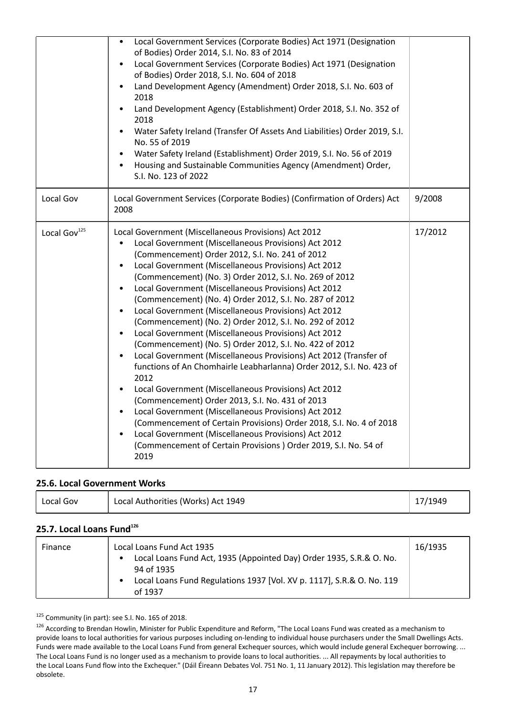|                          | Local Government Services (Corporate Bodies) Act 1971 (Designation<br>of Bodies) Order 2014, S.I. No. 83 of 2014<br>Local Government Services (Corporate Bodies) Act 1971 (Designation<br>$\bullet$<br>of Bodies) Order 2018, S.I. No. 604 of 2018<br>Land Development Agency (Amendment) Order 2018, S.I. No. 603 of<br>2018<br>Land Development Agency (Establishment) Order 2018, S.I. No. 352 of<br>2018<br>Water Safety Ireland (Transfer Of Assets And Liabilities) Order 2019, S.I.<br>No. 55 of 2019<br>Water Safety Ireland (Establishment) Order 2019, S.I. No. 56 of 2019<br>Housing and Sustainable Communities Agency (Amendment) Order,<br>$\bullet$<br>S.I. No. 123 of 2022                                                                                                                                                                                                                                                                                                                                                                                                                                                                                                                           |         |
|--------------------------|----------------------------------------------------------------------------------------------------------------------------------------------------------------------------------------------------------------------------------------------------------------------------------------------------------------------------------------------------------------------------------------------------------------------------------------------------------------------------------------------------------------------------------------------------------------------------------------------------------------------------------------------------------------------------------------------------------------------------------------------------------------------------------------------------------------------------------------------------------------------------------------------------------------------------------------------------------------------------------------------------------------------------------------------------------------------------------------------------------------------------------------------------------------------------------------------------------------------|---------|
| Local Gov                | Local Government Services (Corporate Bodies) (Confirmation of Orders) Act<br>2008                                                                                                                                                                                                                                                                                                                                                                                                                                                                                                                                                                                                                                                                                                                                                                                                                                                                                                                                                                                                                                                                                                                                    | 9/2008  |
| Local Gov <sup>125</sup> | Local Government (Miscellaneous Provisions) Act 2012<br>Local Government (Miscellaneous Provisions) Act 2012<br>$\bullet$<br>(Commencement) Order 2012, S.I. No. 241 of 2012<br>Local Government (Miscellaneous Provisions) Act 2012<br>(Commencement) (No. 3) Order 2012, S.I. No. 269 of 2012<br>Local Government (Miscellaneous Provisions) Act 2012<br>(Commencement) (No. 4) Order 2012, S.I. No. 287 of 2012<br>Local Government (Miscellaneous Provisions) Act 2012<br>(Commencement) (No. 2) Order 2012, S.I. No. 292 of 2012<br>Local Government (Miscellaneous Provisions) Act 2012<br>$\bullet$<br>(Commencement) (No. 5) Order 2012, S.I. No. 422 of 2012<br>Local Government (Miscellaneous Provisions) Act 2012 (Transfer of<br>functions of An Chomhairle Leabharlanna) Order 2012, S.I. No. 423 of<br>2012<br>Local Government (Miscellaneous Provisions) Act 2012<br>(Commencement) Order 2013, S.I. No. 431 of 2013<br>Local Government (Miscellaneous Provisions) Act 2012<br>$\bullet$<br>(Commencement of Certain Provisions) Order 2018, S.I. No. 4 of 2018<br>Local Government (Miscellaneous Provisions) Act 2012<br>(Commencement of Certain Provisions) Order 2019, S.I. No. 54 of<br>2019 | 17/2012 |

#### **25.6. Local Government Works**

| Local Gov | Local Authorities (Works) Act 1949 | 17/1949 |
|-----------|------------------------------------|---------|
|-----------|------------------------------------|---------|

# **25.7. Local Loans Fund<sup>126</sup>**

| Finance | Local Loans Fund Act 1935<br>Local Loans Fund Act, 1935 (Appointed Day) Order 1935, S.R.& O. No.<br>$\bullet$<br>94 of 1935<br>Local Loans Fund Regulations 1937 [Vol. XV p. 1117], S.R.& O. No. 119<br>of 1937 | 16/1935 |
|---------|-----------------------------------------------------------------------------------------------------------------------------------------------------------------------------------------------------------------|---------|
|---------|-----------------------------------------------------------------------------------------------------------------------------------------------------------------------------------------------------------------|---------|

125 Community (in part): see S.I. No. 165 of 2018.

<sup>&</sup>lt;sup>126</sup> According to Brendan Howlin, Minister for Public Expenditure and Reform, "The Local Loans Fund was created as a mechanism to provide loans to local authorities for various purposes including on-lending to individual house purchasers under the Small Dwellings Acts. Funds were made available to the Local Loans Fund from general Exchequer sources, which would include general Exchequer borrowing. ... The Local Loans Fund is no longer used as a mechanism to provide loans to local authorities. ... All repayments by local authorities to the Local Loans Fund flow into the Exchequer." (Dáil Éireann Debates Vol. 751 No. 1, 11 January 2012). This legislation may therefore be obsolete.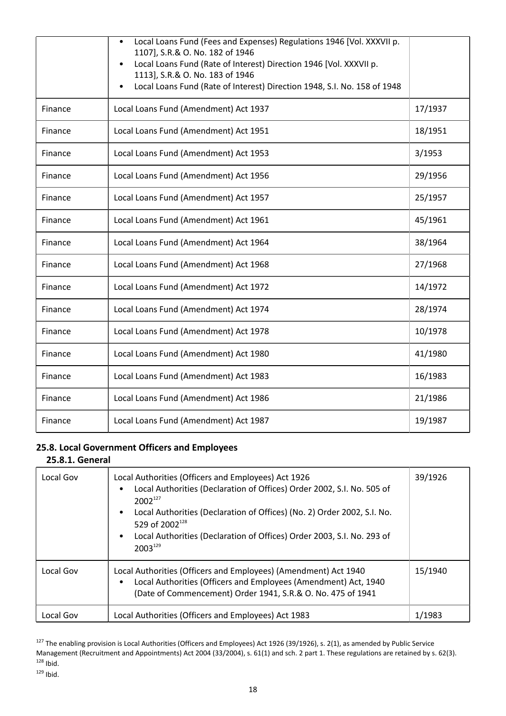|         | Local Loans Fund (Fees and Expenses) Regulations 1946 [Vol. XXXVII p.<br>1107], S.R.& O. No. 182 of 1946<br>Local Loans Fund (Rate of Interest) Direction 1946 [Vol. XXXVII p.<br>1113], S.R.& O. No. 183 of 1946<br>Local Loans Fund (Rate of Interest) Direction 1948, S.I. No. 158 of 1948<br>$\bullet$ |         |
|---------|------------------------------------------------------------------------------------------------------------------------------------------------------------------------------------------------------------------------------------------------------------------------------------------------------------|---------|
| Finance | Local Loans Fund (Amendment) Act 1937                                                                                                                                                                                                                                                                      | 17/1937 |
| Finance | Local Loans Fund (Amendment) Act 1951                                                                                                                                                                                                                                                                      | 18/1951 |
| Finance | Local Loans Fund (Amendment) Act 1953                                                                                                                                                                                                                                                                      | 3/1953  |
| Finance | Local Loans Fund (Amendment) Act 1956                                                                                                                                                                                                                                                                      | 29/1956 |
| Finance | Local Loans Fund (Amendment) Act 1957                                                                                                                                                                                                                                                                      | 25/1957 |
| Finance | Local Loans Fund (Amendment) Act 1961                                                                                                                                                                                                                                                                      | 45/1961 |
| Finance | Local Loans Fund (Amendment) Act 1964                                                                                                                                                                                                                                                                      | 38/1964 |
| Finance | Local Loans Fund (Amendment) Act 1968                                                                                                                                                                                                                                                                      | 27/1968 |
| Finance | Local Loans Fund (Amendment) Act 1972                                                                                                                                                                                                                                                                      | 14/1972 |
| Finance | Local Loans Fund (Amendment) Act 1974                                                                                                                                                                                                                                                                      | 28/1974 |
| Finance | Local Loans Fund (Amendment) Act 1978                                                                                                                                                                                                                                                                      | 10/1978 |
| Finance | Local Loans Fund (Amendment) Act 1980                                                                                                                                                                                                                                                                      | 41/1980 |
| Finance | Local Loans Fund (Amendment) Act 1983                                                                                                                                                                                                                                                                      | 16/1983 |
| Finance | Local Loans Fund (Amendment) Act 1986                                                                                                                                                                                                                                                                      | 21/1986 |
| Finance | Local Loans Fund (Amendment) Act 1987                                                                                                                                                                                                                                                                      | 19/1987 |

# **25.8. Local Government Officers and Employees**

### **25.8.1. General**

| Local Gov | Local Authorities (Officers and Employees) Act 1926<br>Local Authorities (Declaration of Offices) Order 2002, S.I. No. 505 of<br>$2002^{127}$<br>Local Authorities (Declaration of Offices) (No. 2) Order 2002, S.I. No.<br>529 of 2002 <sup>128</sup><br>Local Authorities (Declaration of Offices) Order 2003, S.I. No. 293 of<br>$2003^{129}$ | 39/1926 |
|-----------|--------------------------------------------------------------------------------------------------------------------------------------------------------------------------------------------------------------------------------------------------------------------------------------------------------------------------------------------------|---------|
| Local Gov | Local Authorities (Officers and Employees) (Amendment) Act 1940<br>Local Authorities (Officers and Employees (Amendment) Act, 1940<br>(Date of Commencement) Order 1941, S.R.& O. No. 475 of 1941                                                                                                                                                | 15/1940 |
| Local Gov | Local Authorities (Officers and Employees) Act 1983                                                                                                                                                                                                                                                                                              | 1/1983  |

 $^{127}$  The enabling provision is Local Authorities (Officers and Employees) Act 1926 (39/1926), s. 2(1), as amended by Public Service Management (Recruitment and Appointments) Act 2004 (33/2004), s. 61(1) and sch. 2 part 1. These regulations are retained by s. 62(3).  $128$  Ibid.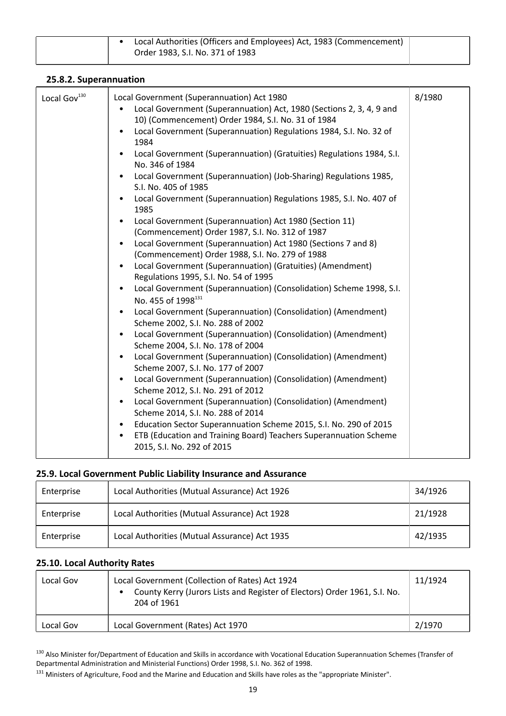|  | Local Authorities (Officers and Employees) Act, 1983 (Commencement) |  |
|--|---------------------------------------------------------------------|--|
|  | Order 1983, S.I. No. 371 of 1983                                    |  |
|  |                                                                     |  |

| Local Gov <sup>130</sup> | Local Government (Superannuation) Act 1980<br>Local Government (Superannuation) Act, 1980 (Sections 2, 3, 4, 9 and<br>$\bullet$<br>10) (Commencement) Order 1984, S.I. No. 31 of 1984<br>Local Government (Superannuation) Regulations 1984, S.I. No. 32 of<br>$\bullet$<br>1984<br>Local Government (Superannuation) (Gratuities) Regulations 1984, S.I.<br>$\bullet$<br>No. 346 of 1984<br>Local Government (Superannuation) (Job-Sharing) Regulations 1985,<br>$\bullet$<br>S.I. No. 405 of 1985<br>Local Government (Superannuation) Regulations 1985, S.I. No. 407 of<br>$\bullet$<br>1985<br>Local Government (Superannuation) Act 1980 (Section 11)<br>$\bullet$<br>(Commencement) Order 1987, S.I. No. 312 of 1987<br>Local Government (Superannuation) Act 1980 (Sections 7 and 8)<br>$\bullet$<br>(Commencement) Order 1988, S.I. No. 279 of 1988<br>Local Government (Superannuation) (Gratuities) (Amendment)<br>$\bullet$<br>Regulations 1995, S.I. No. 54 of 1995<br>Local Government (Superannuation) (Consolidation) Scheme 1998, S.I.<br>$\bullet$<br>No. 455 of 1998 <sup>131</sup><br>Local Government (Superannuation) (Consolidation) (Amendment)<br>$\bullet$<br>Scheme 2002, S.I. No. 288 of 2002<br>Local Government (Superannuation) (Consolidation) (Amendment)<br>$\bullet$<br>Scheme 2004, S.I. No. 178 of 2004<br>Local Government (Superannuation) (Consolidation) (Amendment)<br>$\bullet$<br>Scheme 2007, S.I. No. 177 of 2007<br>Local Government (Superannuation) (Consolidation) (Amendment)<br>$\bullet$<br>Scheme 2012, S.I. No. 291 of 2012<br>Local Government (Superannuation) (Consolidation) (Amendment)<br>$\bullet$<br>Scheme 2014, S.I. No. 288 of 2014<br>Education Sector Superannuation Scheme 2015, S.I. No. 290 of 2015<br>$\bullet$<br>ETB (Education and Training Board) Teachers Superannuation Scheme<br>$\bullet$<br>2015, S.I. No. 292 of 2015 | 8/1980 |
|--------------------------|--------------------------------------------------------------------------------------------------------------------------------------------------------------------------------------------------------------------------------------------------------------------------------------------------------------------------------------------------------------------------------------------------------------------------------------------------------------------------------------------------------------------------------------------------------------------------------------------------------------------------------------------------------------------------------------------------------------------------------------------------------------------------------------------------------------------------------------------------------------------------------------------------------------------------------------------------------------------------------------------------------------------------------------------------------------------------------------------------------------------------------------------------------------------------------------------------------------------------------------------------------------------------------------------------------------------------------------------------------------------------------------------------------------------------------------------------------------------------------------------------------------------------------------------------------------------------------------------------------------------------------------------------------------------------------------------------------------------------------------------------------------------------------------------------------------------------------------------------------------------------------------------------------|--------|

### **25.8.2. Superannuation**

# **25.9. Local Government Public Liability Insurance and Assurance**

| Enterprise | Local Authorities (Mutual Assurance) Act 1926 | 34/1926 |
|------------|-----------------------------------------------|---------|
| Enterprise | Local Authorities (Mutual Assurance) Act 1928 | 21/1928 |
| Enterprise | Local Authorities (Mutual Assurance) Act 1935 | 42/1935 |

# **25.10. Local Authority Rates**

| Local Gov | Local Government (Collection of Rates) Act 1924<br>County Kerry (Jurors Lists and Register of Electors) Order 1961, S.I. No.<br>204 of 1961 | 11/1924 |
|-----------|---------------------------------------------------------------------------------------------------------------------------------------------|---------|
| Local Gov | Local Government (Rates) Act 1970                                                                                                           | 2/1970  |

<sup>130</sup> Also Minister for/Department of Education and Skills in accordance with Vocational Education Superannuation Schemes (Transfer of Departmental Administration and Ministerial Functions) Order 1998, S.I. No. 362 of 1998.

<sup>131</sup> Ministers of Agriculture, Food and the Marine and Education and Skills have roles as the "appropriate Minister".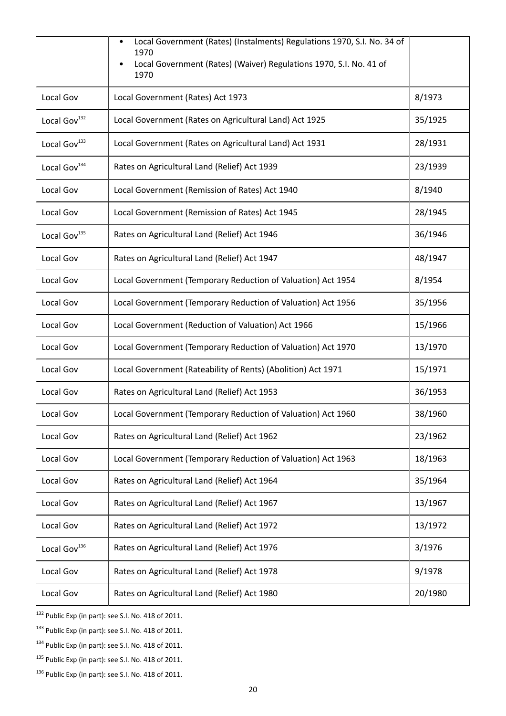|                          | Local Government (Rates) (Instalments) Regulations 1970, S.I. No. 34 of<br>1970<br>Local Government (Rates) (Waiver) Regulations 1970, S.I. No. 41 of<br>1970 |         |
|--------------------------|---------------------------------------------------------------------------------------------------------------------------------------------------------------|---------|
| Local Gov                | Local Government (Rates) Act 1973                                                                                                                             | 8/1973  |
| Local Gov <sup>132</sup> | Local Government (Rates on Agricultural Land) Act 1925                                                                                                        | 35/1925 |
| Local Gov <sup>133</sup> | Local Government (Rates on Agricultural Land) Act 1931                                                                                                        | 28/1931 |
| Local Gov <sup>134</sup> | Rates on Agricultural Land (Relief) Act 1939                                                                                                                  | 23/1939 |
| Local Gov                | Local Government (Remission of Rates) Act 1940                                                                                                                | 8/1940  |
| Local Gov                | Local Government (Remission of Rates) Act 1945                                                                                                                | 28/1945 |
| Local Gov <sup>135</sup> | Rates on Agricultural Land (Relief) Act 1946                                                                                                                  | 36/1946 |
| Local Gov                | Rates on Agricultural Land (Relief) Act 1947                                                                                                                  | 48/1947 |
| Local Gov                | Local Government (Temporary Reduction of Valuation) Act 1954                                                                                                  | 8/1954  |
| Local Gov                | Local Government (Temporary Reduction of Valuation) Act 1956                                                                                                  | 35/1956 |
| Local Gov                | Local Government (Reduction of Valuation) Act 1966                                                                                                            | 15/1966 |
| Local Gov                | Local Government (Temporary Reduction of Valuation) Act 1970                                                                                                  | 13/1970 |
| Local Gov                | Local Government (Rateability of Rents) (Abolition) Act 1971                                                                                                  | 15/1971 |
| Local Gov                | Rates on Agricultural Land (Relief) Act 1953                                                                                                                  | 36/1953 |
| Local Gov                | Local Government (Temporary Reduction of Valuation) Act 1960                                                                                                  | 38/1960 |
| Local Gov                | Rates on Agricultural Land (Relief) Act 1962                                                                                                                  | 23/1962 |
| Local Gov                | Local Government (Temporary Reduction of Valuation) Act 1963                                                                                                  | 18/1963 |
| Local Gov                | Rates on Agricultural Land (Relief) Act 1964                                                                                                                  | 35/1964 |
| Local Gov                | Rates on Agricultural Land (Relief) Act 1967                                                                                                                  | 13/1967 |
| Local Gov                | Rates on Agricultural Land (Relief) Act 1972                                                                                                                  | 13/1972 |
| Local Gov <sup>136</sup> | Rates on Agricultural Land (Relief) Act 1976                                                                                                                  | 3/1976  |
| Local Gov                | Rates on Agricultural Land (Relief) Act 1978                                                                                                                  | 9/1978  |
| Local Gov                | Rates on Agricultural Land (Relief) Act 1980                                                                                                                  | 20/1980 |

<sup>132</sup> Public Exp (in part): see S.I. No. 418 of 2011.

<sup>133</sup> Public Exp (in part): see S.I. No. 418 of 2011.

<sup>134</sup> Public Exp (in part): see S.I. No. 418 of 2011.

<sup>135</sup> Public Exp (in part): see S.I. No. 418 of 2011.

<sup>136</sup> Public Exp (in part): see S.I. No. 418 of 2011.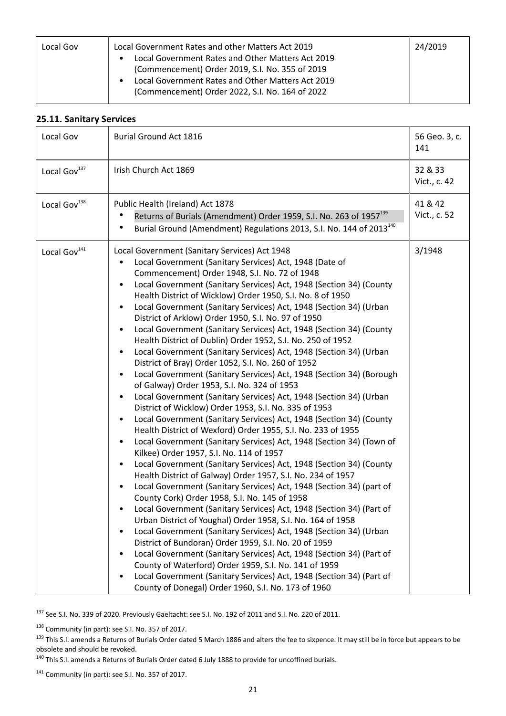| Local Gov | Local Government Rates and other Matters Act 2019<br>Local Government Rates and Other Matters Act 2019<br>(Commencement) Order 2019, S.I. No. 355 of 2019<br>Local Government Rates and Other Matters Act 2019<br>(Commencement) Order 2022, S.I. No. 164 of 2022 | 24/2019 |
|-----------|-------------------------------------------------------------------------------------------------------------------------------------------------------------------------------------------------------------------------------------------------------------------|---------|
|-----------|-------------------------------------------------------------------------------------------------------------------------------------------------------------------------------------------------------------------------------------------------------------------|---------|

# **25.11. Sanitary Services**

| Local Gov                | <b>Burial Ground Act 1816</b>                                                                                                                                                                                                                                                                                                                                                                                                                                                                                                                                                                                                                                                                                                                                                                                                                                                                                                                                                                                                                                                                                                                                                                                                                                                                                                                                                                                                                                                                                                                                                                                                                                                                                                                                                                                                                                                                                                                                                                                                                 | 56 Geo. 3, c.<br>141    |
|--------------------------|-----------------------------------------------------------------------------------------------------------------------------------------------------------------------------------------------------------------------------------------------------------------------------------------------------------------------------------------------------------------------------------------------------------------------------------------------------------------------------------------------------------------------------------------------------------------------------------------------------------------------------------------------------------------------------------------------------------------------------------------------------------------------------------------------------------------------------------------------------------------------------------------------------------------------------------------------------------------------------------------------------------------------------------------------------------------------------------------------------------------------------------------------------------------------------------------------------------------------------------------------------------------------------------------------------------------------------------------------------------------------------------------------------------------------------------------------------------------------------------------------------------------------------------------------------------------------------------------------------------------------------------------------------------------------------------------------------------------------------------------------------------------------------------------------------------------------------------------------------------------------------------------------------------------------------------------------------------------------------------------------------------------------------------------------|-------------------------|
| Local Gov <sup>137</sup> | Irish Church Act 1869                                                                                                                                                                                                                                                                                                                                                                                                                                                                                                                                                                                                                                                                                                                                                                                                                                                                                                                                                                                                                                                                                                                                                                                                                                                                                                                                                                                                                                                                                                                                                                                                                                                                                                                                                                                                                                                                                                                                                                                                                         | 32 & 33<br>Vict., c. 42 |
| Local Gov <sup>138</sup> | Public Health (Ireland) Act 1878<br>Returns of Burials (Amendment) Order 1959, S.I. No. 263 of 1957 <sup>139</sup><br>Burial Ground (Amendment) Regulations 2013, S.I. No. 144 of 2013 <sup>140</sup>                                                                                                                                                                                                                                                                                                                                                                                                                                                                                                                                                                                                                                                                                                                                                                                                                                                                                                                                                                                                                                                                                                                                                                                                                                                                                                                                                                                                                                                                                                                                                                                                                                                                                                                                                                                                                                         | 41 & 42<br>Vict., c. 52 |
| Local Gov <sup>141</sup> | Local Government (Sanitary Services) Act 1948<br>Local Government (Sanitary Services) Act, 1948 (Date of<br>Commencement) Order 1948, S.I. No. 72 of 1948<br>Local Government (Sanitary Services) Act, 1948 (Section 34) (County<br>Health District of Wicklow) Order 1950, S.I. No. 8 of 1950<br>Local Government (Sanitary Services) Act, 1948 (Section 34) (Urban<br>$\bullet$<br>District of Arklow) Order 1950, S.I. No. 97 of 1950<br>Local Government (Sanitary Services) Act, 1948 (Section 34) (County<br>Health District of Dublin) Order 1952, S.I. No. 250 of 1952<br>Local Government (Sanitary Services) Act, 1948 (Section 34) (Urban<br>District of Bray) Order 1052, S.I. No. 260 of 1952<br>Local Government (Sanitary Services) Act, 1948 (Section 34) (Borough<br>of Galway) Order 1953, S.I. No. 324 of 1953<br>Local Government (Sanitary Services) Act, 1948 (Section 34) (Urban<br>District of Wicklow) Order 1953, S.I. No. 335 of 1953<br>Local Government (Sanitary Services) Act, 1948 (Section 34) (County<br>$\bullet$<br>Health District of Wexford) Order 1955, S.I. No. 233 of 1955<br>Local Government (Sanitary Services) Act, 1948 (Section 34) (Town of<br>Kilkee) Order 1957, S.I. No. 114 of 1957<br>Local Government (Sanitary Services) Act, 1948 (Section 34) (County<br>Health District of Galway) Order 1957, S.I. No. 234 of 1957<br>Local Government (Sanitary Services) Act, 1948 (Section 34) (part of<br>County Cork) Order 1958, S.I. No. 145 of 1958<br>Local Government (Sanitary Services) Act, 1948 (Section 34) (Part of<br>Urban District of Youghal) Order 1958, S.I. No. 164 of 1958<br>Local Government (Sanitary Services) Act, 1948 (Section 34) (Urban<br>District of Bundoran) Order 1959, S.I. No. 20 of 1959<br>Local Government (Sanitary Services) Act, 1948 (Section 34) (Part of<br>County of Waterford) Order 1959, S.I. No. 141 of 1959<br>Local Government (Sanitary Services) Act, 1948 (Section 34) (Part of<br>County of Donegal) Order 1960, S.I. No. 173 of 1960 | 3/1948                  |

<sup>137</sup> See S.I. No. 339 of 2020. Previously Gaeltacht: see S.I. No. 192 of 2011 and S.I. No. 220 of 2011.

138 Community (in part): see S.I. No. 357 of 2017.

<sup>139</sup> This S.I. amends a Returns of Burials Order dated 5 March 1886 and alters the fee to sixpence. It may still be in force but appears to be obsolete and should be revoked.

<sup>140</sup> This S.I. amends a Returns of Burials Order dated 6 July 1888 to provide for uncoffined burials.

141 Community (in part): see S.I. No. 357 of 2017.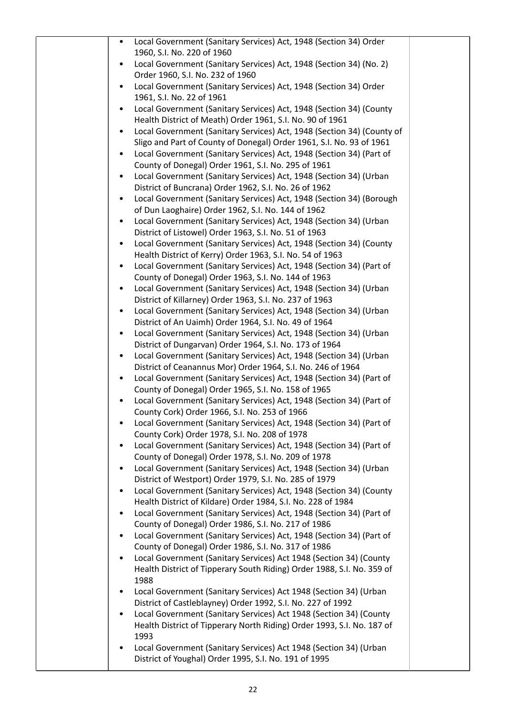| Local Government (Sanitary Services) Act, 1948 (Section 34) Order<br>$\bullet$                                                           |  |
|------------------------------------------------------------------------------------------------------------------------------------------|--|
| 1960, S.I. No. 220 of 1960                                                                                                               |  |
| Local Government (Sanitary Services) Act, 1948 (Section 34) (No. 2)                                                                      |  |
| Order 1960, S.I. No. 232 of 1960                                                                                                         |  |
| Local Government (Sanitary Services) Act, 1948 (Section 34) Order                                                                        |  |
| 1961, S.I. No. 22 of 1961<br>Local Government (Sanitary Services) Act, 1948 (Section 34) (County                                         |  |
| Health District of Meath) Order 1961, S.I. No. 90 of 1961                                                                                |  |
| Local Government (Sanitary Services) Act, 1948 (Section 34) (County of                                                                   |  |
| Sligo and Part of County of Donegal) Order 1961, S.I. No. 93 of 1961                                                                     |  |
| Local Government (Sanitary Services) Act, 1948 (Section 34) (Part of                                                                     |  |
| County of Donegal) Order 1961, S.I. No. 295 of 1961                                                                                      |  |
| Local Government (Sanitary Services) Act, 1948 (Section 34) (Urban                                                                       |  |
| District of Buncrana) Order 1962, S.I. No. 26 of 1962                                                                                    |  |
| Local Government (Sanitary Services) Act, 1948 (Section 34) (Borough                                                                     |  |
| of Dun Laoghaire) Order 1962, S.I. No. 144 of 1962                                                                                       |  |
| Local Government (Sanitary Services) Act, 1948 (Section 34) (Urban<br>$\bullet$                                                          |  |
| District of Listowel) Order 1963, S.I. No. 51 of 1963                                                                                    |  |
| Local Government (Sanitary Services) Act, 1948 (Section 34) (County<br>٠                                                                 |  |
| Health District of Kerry) Order 1963, S.I. No. 54 of 1963                                                                                |  |
| Local Government (Sanitary Services) Act, 1948 (Section 34) (Part of                                                                     |  |
| County of Donegal) Order 1963, S.I. No. 144 of 1963                                                                                      |  |
| Local Government (Sanitary Services) Act, 1948 (Section 34) (Urban                                                                       |  |
| District of Killarney) Order 1963, S.I. No. 237 of 1963                                                                                  |  |
| Local Government (Sanitary Services) Act, 1948 (Section 34) (Urban                                                                       |  |
| District of An Uaimh) Order 1964, S.I. No. 49 of 1964<br>Local Government (Sanitary Services) Act, 1948 (Section 34) (Urban<br>$\bullet$ |  |
| District of Dungarvan) Order 1964, S.I. No. 173 of 1964                                                                                  |  |
| Local Government (Sanitary Services) Act, 1948 (Section 34) (Urban<br>$\bullet$                                                          |  |
| District of Ceanannus Mor) Order 1964, S.I. No. 246 of 1964                                                                              |  |
| Local Government (Sanitary Services) Act, 1948 (Section 34) (Part of                                                                     |  |
| County of Donegal) Order 1965, S.I. No. 158 of 1965                                                                                      |  |
| Local Government (Sanitary Services) Act, 1948 (Section 34) (Part of                                                                     |  |
| County Cork) Order 1966, S.I. No. 253 of 1966                                                                                            |  |
| Local Government (Sanitary Services) Act, 1948 (Section 34) (Part of                                                                     |  |
| County Cork) Order 1978, S.I. No. 208 of 1978                                                                                            |  |
| Local Government (Sanitary Services) Act, 1948 (Section 34) (Part of<br>$\bullet$                                                        |  |
| County of Donegal) Order 1978, S.I. No. 209 of 1978                                                                                      |  |
| Local Government (Sanitary Services) Act, 1948 (Section 34) (Urban                                                                       |  |
| District of Westport) Order 1979, S.I. No. 285 of 1979                                                                                   |  |
| Local Government (Sanitary Services) Act, 1948 (Section 34) (County                                                                      |  |
| Health District of Kildare) Order 1984, S.I. No. 228 of 1984                                                                             |  |
| Local Government (Sanitary Services) Act, 1948 (Section 34) (Part of<br>County of Donegal) Order 1986, S.I. No. 217 of 1986              |  |
| Local Government (Sanitary Services) Act, 1948 (Section 34) (Part of                                                                     |  |
| County of Donegal) Order 1986, S.I. No. 317 of 1986                                                                                      |  |
| Local Government (Sanitary Services) Act 1948 (Section 34) (County                                                                       |  |
| Health District of Tipperary South Riding) Order 1988, S.I. No. 359 of                                                                   |  |
| 1988                                                                                                                                     |  |
| Local Government (Sanitary Services) Act 1948 (Section 34) (Urban                                                                        |  |
| District of Castleblayney) Order 1992, S.I. No. 227 of 1992                                                                              |  |
| Local Government (Sanitary Services) Act 1948 (Section 34) (County                                                                       |  |
| Health District of Tipperary North Riding) Order 1993, S.I. No. 187 of                                                                   |  |
| 1993                                                                                                                                     |  |
| Local Government (Sanitary Services) Act 1948 (Section 34) (Urban                                                                        |  |
| District of Youghal) Order 1995, S.I. No. 191 of 1995                                                                                    |  |